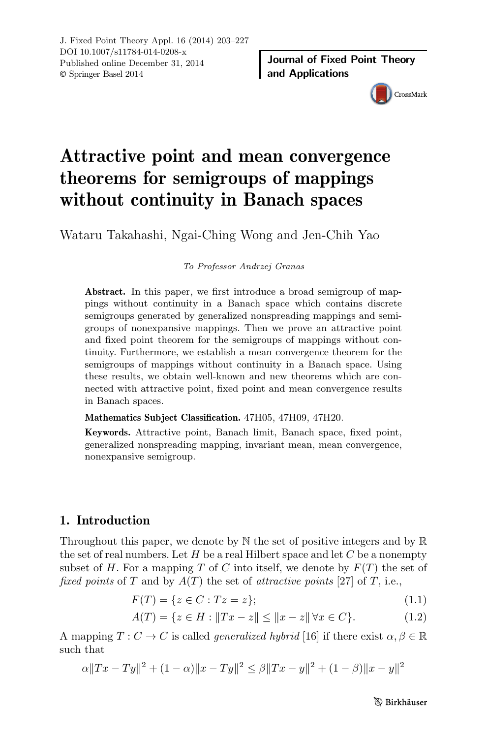

# Attractive point and mean convergence theorems for semigroups of mappings without continuity in Banach spaces

Wataru Takahashi, Ngai-Ching Wong and Jen-Chih Yao

*To Professor Andrzej Granas*

Abstract. In this paper, we first introduce a broad semigroup of mappings without continuity in a Banach space which contains discrete semigroups generated by generalized nonspreading mappings and semigroups of nonexpansive mappings. Then we prove an attractive point and fixed point theorem for the semigroups of mappings without continuity. Furthermore, we establish a mean convergence theorem for the semigroups of mappings without continuity in a Banach space. Using these results, we obtain well-known and new theorems which are connected with attractive point, fixed point and mean convergence results in Banach spaces.

Mathematics Subject Classification. 47H05, 47H09, 47H20.

Keywords. Attractive point, Banach limit, Banach space, fixed point, generalized nonspreading mapping, invariant mean, mean convergence, nonexpansive semigroup.

# 1. Introduction

Throughout this paper, we denote by  $\mathbb N$  the set of positive integers and by  $\mathbb R$ the set of real numbers. Let *H* be a real Hilbert space and let *C* be a nonempty subset of *H*. For a mapping *T* of *C* into itself, we denote by  $F(T)$  the set of *fixed points* of *T* and by  $A(T)$  the set of *attractive points* [27] of *T*, i.e.,

$$
F(T) = \{ z \in C : Tz = z \};\tag{1.1}
$$

$$
A(T) = \{ z \in H : \|Tx - z\| \le \|x - z\| \,\forall x \in C \}. \tag{1.2}
$$

A mapping  $T: C \to C$  is called *generalized hybrid* [16] if there exist  $\alpha, \beta \in \mathbb{R}$ such that

$$
\alpha ||Tx - Ty||^2 + (1 - \alpha) ||x - Ty||^2 \le \beta ||Tx - y||^2 + (1 - \beta) ||x - y||^2
$$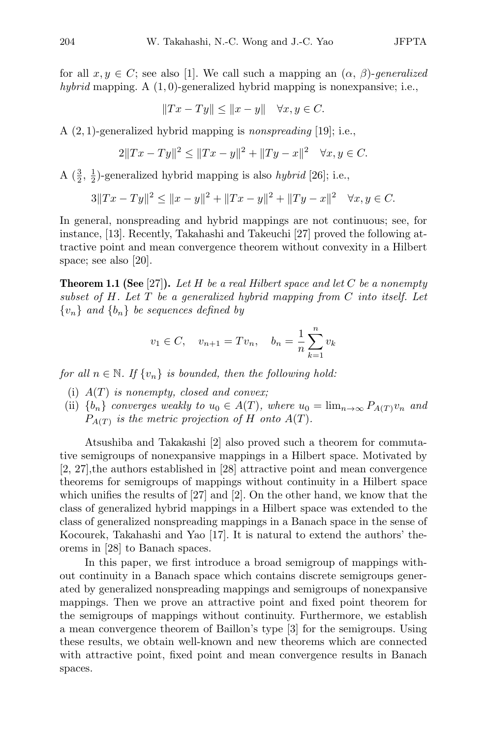for all  $x, y \in C$ ; see also [1]. We call such a mapping an  $(\alpha, \beta)$ -generalized *hybrid* mapping. A (1*,* 0)-generalized hybrid mapping is nonexpansive; i.e.,

$$
||Tx - Ty|| \le ||x - y|| \quad \forall x, y \in C.
$$

A (2*,* 1)-generalized hybrid mapping is *nonspreading* [19]; i.e.,

$$
2||Tx - Ty||2 \le ||Tx - y||2 + ||Ty - x||2 \quad \forall x, y \in C.
$$

A  $(\frac{3}{2}, \frac{1}{2})$ -generalized hybrid mapping is also *hybrid* [26]; i.e.,

$$
3||Tx - Ty||2 \le ||x - y||2 + ||Tx - y||2 + ||Ty - x||2 \quad \forall x, y \in C.
$$

In general, nonspreading and hybrid mappings are not continuous; see, for instance, [13]. Recently, Takahashi and Takeuchi [27] proved the following attractive point and mean convergence theorem without convexity in a Hilbert space; see also [20].

Theorem 1.1 (See [27]). *Let H be a real Hilbert space and let C be a nonempty subset of H. Let T be a generalized hybrid mapping from C into itself. Let*  $\{v_n\}$  *and*  $\{b_n\}$  *be sequences defined by* 

$$
v_1 \in C
$$
,  $v_{n+1} = Tv_n$ ,  $b_n = \frac{1}{n} \sum_{k=1}^n v_k$ 

*for all*  $n \in \mathbb{N}$ . If  $\{v_n\}$  *is bounded, then the following hold:* 

- (i) *A*(*T*) *is nonempty, closed and convex;*
- (ii)  ${b_n}$  *converges weakly to*  $u_0 \in A(T)$ *, where*  $u_0 = \lim_{n \to \infty} P_{A(T)} v_n$  and  $P_{A(T)}$  *is the metric projection of H onto*  $A(T)$ *.*

Atsushiba and Takakashi [2] also proved such a theorem for commutative semigroups of nonexpansive mappings in a Hilbert space. Motivated by [2, 27],the authors established in [28] attractive point and mean convergence theorems for semigroups of mappings without continuity in a Hilbert space which unifies the results of [27] and [2]. On the other hand, we know that the class of generalized hybrid mappings in a Hilbert space was extended to the class of generalized nonspreading mappings in a Banach space in the sense of Kocourek, Takahashi and Yao [17]. It is natural to extend the authors' theorems in [28] to Banach spaces.

In this paper, we first introduce a broad semigroup of mappings without continuity in a Banach space which contains discrete semigroups generated by generalized nonspreading mappings and semigroups of nonexpansive mappings. Then we prove an attractive point and fixed point theorem for the semigroups of mappings without continuity. Furthermore, we establish a mean convergence theorem of Baillon's type [3] for the semigroups. Using these results, we obtain well-known and new theorems which are connected with attractive point, fixed point and mean convergence results in Banach spaces.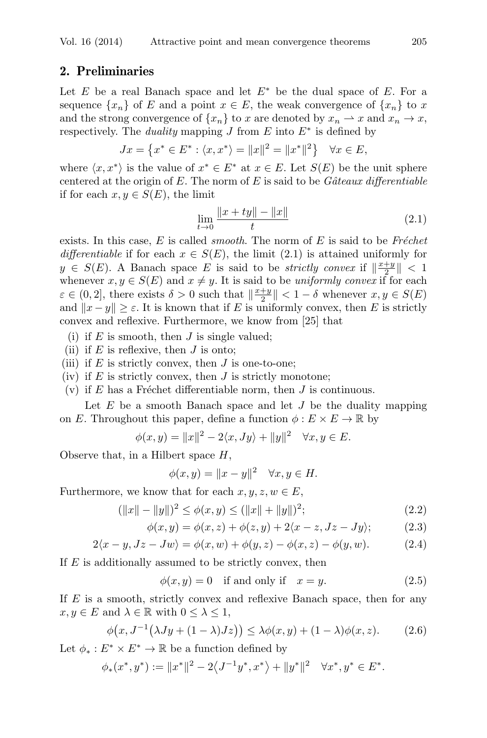# 2. Preliminaries

Let  $E$  be a real Banach space and let  $E^*$  be the dual space of  $E$ . For a sequence  $\{x_n\}$  of *E* and a point  $x \in E$ , the weak convergence of  $\{x_n\}$  to *x* and the strong convergence of  $\{x_n\}$  to *x* are denoted by  $x_n \to x$  and  $x_n \to x$ , respectively. The *duality* mapping *J* from  $E$  into  $E^*$  is defined by

$$
Jx = \left\{ x^* \in E^* : \langle x, x^* \rangle = ||x||^2 = ||x^*||^2 \right\} \quad \forall x \in E,
$$

where  $\langle x, x^* \rangle$  is the value of  $x^* \in E^*$  at  $x \in E$ . Let  $S(E)$  be the unit sphere centered at the origin of *E*. The norm of *E* is said to be *Gâteaux differentiable* if for each  $x, y \in S(E)$ , the limit

$$
\lim_{t \to 0} \frac{\|x + ty\| - \|x\|}{t} \tag{2.1}
$$

exists. In this case,  $E$  is called *smooth*. The norm of  $E$  is said to be *Fréchet differentiable* if for each  $x \in S(E)$ , the limit (2.1) is attained uniformly for  $y \in S(E)$ . A Banach space *E* is said to be *strictly convex* if  $\left|\frac{x+y}{2}\right| < 1$ whenever  $x, y \in S(E)$  and  $x \neq y$ . It is said to be *uniformly convex* if for each  $\varepsilon \in (0, 2]$ , there exists  $\delta > 0$  such that  $\left|\frac{x+y}{2}\right| < 1 - \delta$  whenever  $x, y \in S(E)$ and  $||x - y|| \geq \varepsilon$ . It is known that if *E* is uniformly convex, then *E* is strictly convex and reflexive. Furthermore, we know from [25] that

- (i) if  $E$  is smooth, then  $J$  is single valued;
- (ii) if  $E$  is reflexive, then  $J$  is onto;
- (iii) if  $E$  is strictly convex, then  $J$  is one-to-one;
- (iv) if *E* is strictly convex, then *J* is strictly monotone;
- (v) if  $E$  has a Fréchet differentiable norm, then  $J$  is continuous.

Let *E* be a smooth Banach space and let *J* be the duality mapping on *E*. Throughout this paper, define a function  $\phi : E \times E \to \mathbb{R}$  by

$$
\phi(x, y) = ||x||^2 - 2\langle x, Jy \rangle + ||y||^2 \quad \forall x, y \in E.
$$

Observe that, in a Hilbert space *H*,

$$
\phi(x, y) = \|x - y\|^2 \quad \forall x, y \in H.
$$

Furthermore, we know that for each  $x, y, z, w \in E$ ,

$$
(\|x\| - \|y\|)^2 \le \phi(x, y) \le (\|x\| + \|y\|)^2; \tag{2.2}
$$

$$
\phi(x,y) = \phi(x,z) + \phi(z,y) + 2\langle x-z, Jz-Jy \rangle; \tag{2.3}
$$

$$
2\langle x-y, Jz-Jw\rangle = \phi(x, w) + \phi(y, z) - \phi(x, z) - \phi(y, w). \tag{2.4}
$$

If *E* is additionally assumed to be strictly convex, then

 $\phi(x, y) = 0$  if and only if  $x = y$ . (2.5)

If *E* is a smooth, strictly convex and reflexive Banach space, then for any  $x, y \in E$  and  $\lambda \in \mathbb{R}$  with  $0 \leq \lambda \leq 1$ ,

$$
\phi\big(x, J^{-1}\big(\lambda Jy + (1-\lambda)Jz\big)\big) \le \lambda \phi(x,y) + (1-\lambda)\phi(x,z). \tag{2.6}
$$

Let  $\phi_* : E^* \times E^* \to \mathbb{R}$  be a function defined by

$$
\phi_*(x^*, y^*) := \|x^*\|^2 - 2\langle J^{-1}y^*, x^* \rangle + \|y^*\|^2 \quad \forall x^*, y^* \in E^*.
$$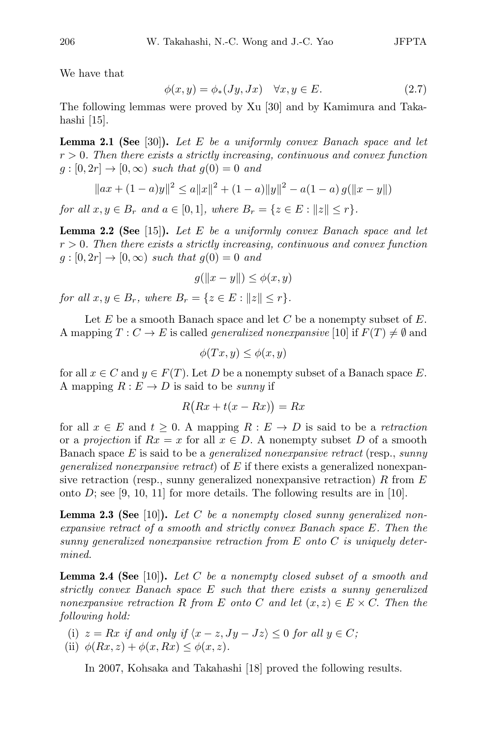We have that

$$
\phi(x, y) = \phi_*(Jy, Jx) \quad \forall x, y \in E. \tag{2.7}
$$

The following lemmas were proved by Xu [30] and by Kamimura and Takahashi [15].

Lemma 2.1 (See [30]). *Let E be a uniformly convex Banach space and let r >* 0*. Then there exists a strictly increasing, continuous and convex function*  $g:[0,2r] \rightarrow [0,\infty)$  *such that*  $g(0) = 0$  *and* 

$$
||ax + (1 - a)y||2 \le a||x||2 + (1 - a)||y||2 - a(1 - a) g(||x - y||)
$$

*for all*  $x, y \in B_r$  *and*  $a \in [0, 1]$ *, where*  $B_r = \{z \in E : ||z|| \leq r\}$ *.* 

Lemma 2.2 (See [15]). *Let E be a uniformly convex Banach space and let r >* 0*. Then there exists a strictly increasing, continuous and convex function*  $g:[0,2r] \rightarrow [0,\infty)$  *such that*  $g(0) = 0$  *and* 

$$
g(||x - y||) \le \phi(x, y)
$$

*for all*  $x, y \in B_r$ *, where*  $B_r = \{z \in E : ||z|| \leq r\}$ *.* 

Let *E* be a smooth Banach space and let *C* be a nonempty subset of *E*. A mapping  $T: C \to E$  is called *generalized nonexpansive* [10] if  $F(T) \neq \emptyset$  and

$$
\phi(Tx, y) \le \phi(x, y)
$$

for all  $x \in C$  and  $y \in F(T)$ . Let *D* be a nonempty subset of a Banach space *E*. A mapping  $R: E \to D$  is said to be *sunny* if

$$
R(Rx + t(x - Rx)) = Rx
$$

for all  $x \in E$  and  $t \geq 0$ . A mapping  $R : E \to D$  is said to be a *retraction* or a *projection* if  $Rx = x$  for all  $x \in D$ . A nonempty subset D of a smooth Banach space *E* is said to be a *generalized nonexpansive retract* (resp., *sunny generalized nonexpansive retract*) of *E* if there exists a generalized nonexpansive retraction (resp., sunny generalized nonexpansive retraction) *R* from *E* onto  $D$ ; see [9, 10, 11] for more details. The following results are in [10].

Lemma 2.3 (See [10]). *Let C be a nonempty closed sunny generalized nonexpansive retract of a smooth and strictly convex Banach space E. Then the sunny generalized nonexpansive retraction from E onto C is uniquely determined.*

Lemma 2.4 (See [10]). *Let C be a nonempty closed subset of a smooth and strictly convex Banach space E such that there exists a sunny generalized nonexpansive retraction R from E onto C and let*  $(x, z) \in E \times C$ . *Then the following hold:*

- (i)  $z = Rx$  *if and only if*  $\langle x z, Jy Jz \rangle \leq 0$  *for all*  $y \in C$ *;*
- (ii)  $\phi(Rx, z) + \phi(x, Rx) \leq \phi(x, z)$ .

In 2007, Kohsaka and Takahashi [18] proved the following results.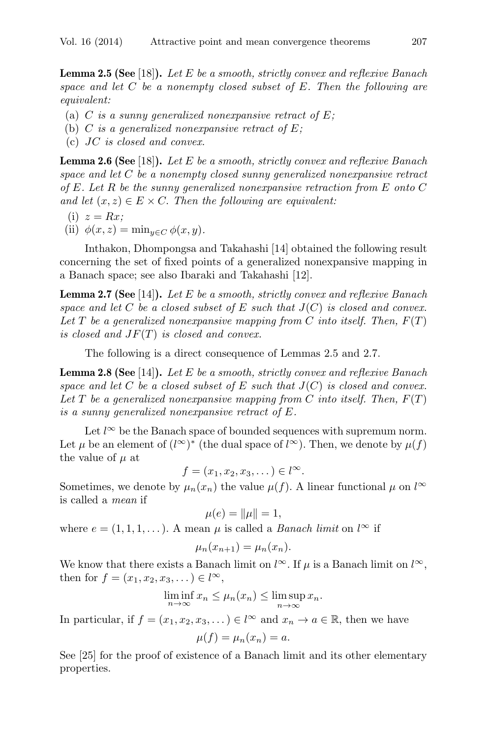Lemma 2.5 (See [18]). *Let E be a smooth, strictly convex and reflexive Banach space and let C be a nonempty closed subset of E. Then the following are equivalent:*

- (a) *C is a sunny generalized nonexpansive retract of E;*
- (b) *C is a generalized nonexpansive retract of E;*
- (c) *JC is closed and convex.*

Lemma 2.6 (See [18]). *Let E be a smooth, strictly convex and reflexive Banach space and let C be a nonempty closed sunny generalized nonexpansive retract of E. Let R be the sunny generalized nonexpansive retraction from E onto C and let*  $(x, z) \in E \times C$ . *Then the following are equivalent:* 

- (i)  $z = Rx$ ;
- (ii)  $\phi(x, z) = \min_{y \in C} \phi(x, y)$ .

Inthakon, Dhompongsa and Takahashi [14] obtained the following result concerning the set of fixed points of a generalized nonexpansive mapping in a Banach space; see also Ibaraki and Takahashi [12].

Lemma 2.7 (See [14]). *Let E be a smooth, strictly convex and reflexive Banach space and let*  $C$  *be a closed subset of*  $E$  *such that*  $J(C)$  *is closed and convex.* Let  $T$  be a generalized nonexpansive mapping from  $C$  into itself. Then,  $F(T)$ *is closed and JF*(*T*) *is closed and convex.*

The following is a direct consequence of Lemmas 2.5 and 2.7.

Lemma 2.8 (See [14]). *Let E be a smooth, strictly convex and reflexive Banach space and let C be a closed subset of E such that J*(*C*) *is closed and convex. Let T be a generalized nonexpansive mapping from C into itself. Then, F*(*T*) *is a sunny generalized nonexpansive retract of E.*

Let *l <sup>∞</sup>* be the Banach space of bounded sequences with supremum norm. Let  $\mu$  be an element of  $(l^{\infty})^*$  (the dual space of  $l^{\infty}$ ). Then, we denote by  $\mu(f)$ the value of  $\mu$  at

 $f = (x_1, x_2, x_3, \dots) \in l^{\infty}.$ 

Sometimes, we denote by  $\mu_n(x_n)$  the value  $\mu(f)$ . A linear functional  $\mu$  on  $l^{\infty}$ is called a *mean* if

$$
\mu(e) = ||\mu|| = 1,
$$

where  $e = (1, 1, 1, \ldots)$ . A mean  $\mu$  is called a *Banach limit* on  $l^{\infty}$  if

$$
\mu_n(x_{n+1}) = \mu_n(x_n).
$$

We know that there exists a Banach limit on  $l^{\infty}$ . If  $\mu$  is a Banach limit on  $l^{\infty}$ , then for  $f = (x_1, x_2, x_3, \dots) \in l^{\infty}$ ,

$$
\liminf_{n \to \infty} x_n \le \mu_n(x_n) \le \limsup_{n \to \infty} x_n.
$$

In particular, if  $f = (x_1, x_2, x_3, ...) \in l^{\infty}$  and  $x_n \to a \in \mathbb{R}$ , then we have

$$
\mu(f) = \mu_n(x_n) = a.
$$

See [25] for the proof of existence of a Banach limit and its other elementary properties.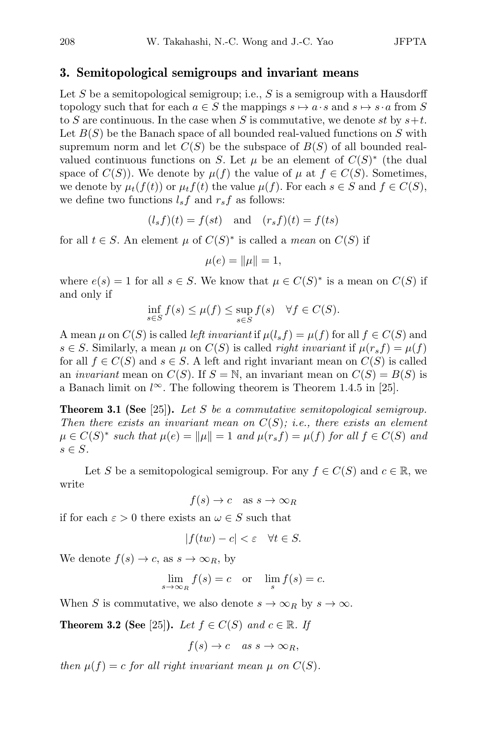# 3. Semitopological semigroups and invariant means

Let *S* be a semitopological semigroup; i.e., *S* is a semigroup with a Hausdorff topology such that for each  $a \in S$  the mappings  $s \mapsto a \cdot s$  and  $s \mapsto s \cdot a$  from S to *S* are continuous. In the case when *S* is commutative, we denote *st* by *s*+*t*. Let *B*(*S*) be the Banach space of all bounded real-valued functions on *S* with supremum norm and let  $C(S)$  be the subspace of  $B(S)$  of all bounded realvalued continuous functions on *S*. Let  $\mu$  be an element of  $C(S)^*$  (the dual space of  $C(S)$ ). We denote by  $\mu(f)$  the value of  $\mu$  at  $f \in C(S)$ . Sometimes, we denote by  $\mu_t(f(t))$  or  $\mu_t f(t)$  the value  $\mu(f)$ . For each  $s \in S$  and  $f \in C(S)$ , we define two functions  $l_s f$  and  $r_s f$  as follows:

$$
(l_s f)(t) = f(st) \quad \text{and} \quad (r_s f)(t) = f(ts)
$$

for all  $t \in S$ . An element  $\mu$  of  $C(S)^*$  is called a *mean* on  $C(S)$  if

$$
\mu(e) = ||\mu|| = 1,
$$

where  $e(s) = 1$  for all  $s \in S$ . We know that  $\mu \in C(S)^*$  is a mean on  $C(S)$  if and only if

$$
\inf_{s \in S} f(s) \le \mu(f) \le \sup_{s \in S} f(s) \quad \forall f \in C(S).
$$

A mean  $\mu$  on  $C(S)$  is called *left invariant* if  $\mu(l_s f) = \mu(f)$  for all  $f \in C(S)$  and  $s \in S$ . Similarly, a mean  $\mu$  on  $C(S)$  is called *right invariant* if  $\mu(r_s f) = \mu(f)$ for all  $f \in C(S)$  and  $s \in S$ . A left and right invariant mean on  $C(S)$  is called an *invariant* mean on  $C(S)$ . If  $S = N$ , an invariant mean on  $C(S) = B(S)$  is a Banach limit on  $l^{\infty}$ . The following theorem is Theorem 1.4.5 in [25].

Theorem 3.1 (See [25]). *Let S be a commutative semitopological semigroup. Then there exists an invariant mean on C*(*S*)*; i.e., there exists an element*  $\mu \in C(S)^*$  such that  $\mu(e) = ||\mu|| = 1$  and  $\mu(r_s f) = \mu(f)$  for all  $f \in C(S)$  and *s ∈ S.*

Let *S* be a semitopological semigroup. For any  $f \in C(S)$  and  $c \in \mathbb{R}$ , we write

 $f(s) \to c$  as  $s \to \infty_R$ 

if for each  $\varepsilon > 0$  there exists an  $\omega \in S$  such that

$$
|f(tw) - c| < \varepsilon \quad \forall t \in S.
$$

We denote  $f(s) \to c$ , as  $s \to \infty_R$ , by

$$
\lim_{s \to \infty_R} f(s) = c \quad \text{or} \quad \lim_{s} f(s) = c.
$$

When *S* is commutative, we also denote  $s \to \infty_R$  by  $s \to \infty$ .

**Theorem 3.2 (See** [25]). *Let*  $f \in C(S)$  *and*  $c \in \mathbb{R}$ *. If* 

$$
f(s) \to c \quad as \; s \to \infty_R,
$$

*then*  $\mu(f) = c$  *for all right invariant mean*  $\mu$  *on*  $C(S)$ *.*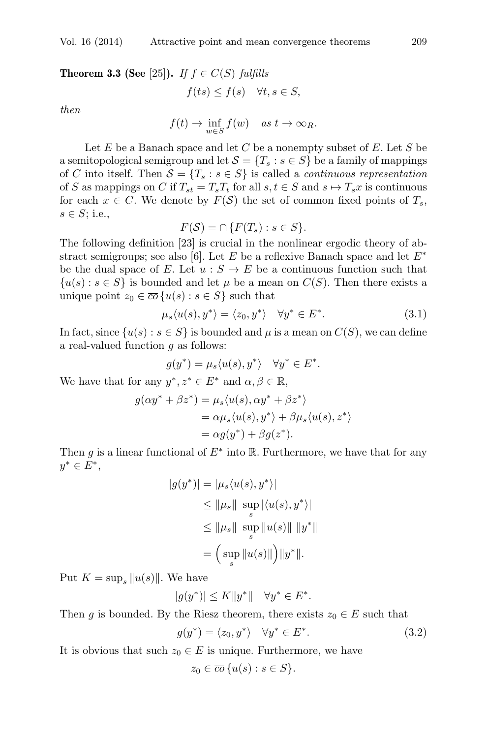**Theorem 3.3 (See** [25]). *If*  $f \in C(S)$  *fulfills* 

$$
f(ts) \le f(s) \quad \forall t, s \in S,
$$

*then*

$$
f(t) \to \inf_{w \in S} f(w)
$$
 as  $t \to \infty_R$ .

Let *E* be a Banach space and let *C* be a nonempty subset of *E*. Let *S* be a semitopological semigroup and let  $S = \{T_s : s \in S\}$  be a family of mappings of *C* into itself. Then  $S = \{T_s : s \in S\}$  is called a *continuous representation* of *S* as mappings on *C* if  $T_{st} = T_s T_t$  for all  $s, t \in S$  and  $s \mapsto T_s x$  is continuous for each  $x \in C$ . We denote by  $F(S)$  the set of common fixed points of  $T_s$ , *s ∈ S*; i.e.,

$$
F(\mathcal{S}) = \cap \{ F(T_s) : s \in S \}.
$$

The following definition [23] is crucial in the nonlinear ergodic theory of abstract semigroups; see also [6]. Let *E* be a reflexive Banach space and let *E<sup>∗</sup>* be the dual space of *E*. Let  $u : S \to E$  be a continuous function such that  $\{u(s): s \in S\}$  is bounded and let  $\mu$  be a mean on  $C(S)$ . Then there exists a unique point  $z_0 \in \overline{co} \{u(s) : s \in S\}$  such that

$$
\mu_s \langle u(s), y^* \rangle = \langle z_0, y^* \rangle \quad \forall y^* \in E^*.
$$
\n(3.1)

In fact, since  $\{u(s): s \in S\}$  is bounded and  $\mu$  is a mean on  $C(S)$ , we can define a real-valued function *g* as follows:

$$
g(y^*) = \mu_s \langle u(s), y^* \rangle \quad \forall y^* \in E^*.
$$

We have that for any  $y^*, z^* \in E^*$  and  $\alpha, \beta \in \mathbb{R}$ ,

$$
g(\alpha y^* + \beta z^*) = \mu_s \langle u(s), \alpha y^* + \beta z^* \rangle
$$
  
=  $\alpha \mu_s \langle u(s), y^* \rangle + \beta \mu_s \langle u(s), z^* \rangle$   
=  $\alpha g(y^*) + \beta g(z^*).$ 

Then *g* is a linear functional of  $E^*$  into R. Furthermore, we have that for any *y<sup>∗</sup> ∈ E∗*,

$$
|g(y^*)| = |\mu_s \langle u(s), y^* \rangle|
$$
  
\n
$$
\leq ||\mu_s|| \sup_s |\langle u(s), y^* \rangle|
$$
  
\n
$$
\leq ||\mu_s|| \sup_s ||u(s)|| ||y^*||
$$
  
\n
$$
= \Big(\sup_s ||u(s)|| \Big) ||y^*||.
$$

Put  $K = \sup_{s} ||u(s)||$ . We have

$$
|g(y^*)| \le K ||y^*|| \quad \forall y^* \in E^*.
$$

Then *g* is bounded. By the Riesz theorem, there exists  $z_0 \in E$  such that

$$
g(y^*) = \langle z_0, y^* \rangle \quad \forall y^* \in E^*.
$$
\n
$$
(3.2)
$$

It is obvious that such  $z_0 \in E$  is unique. Furthermore, we have

 $z_0 \in \overline{co} \{u(s) : s \in S\}.$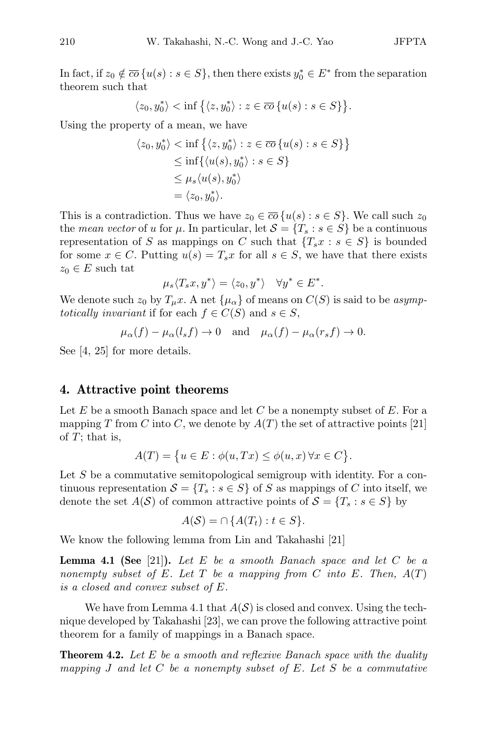In fact, if  $z_0 \notin \overline{co} \{u(s) : s \in S\}$ , then there exists  $y_0^* \in E^*$  from the separation theorem such that

$$
\langle z_0, y_0^* \rangle
$$
  $\langle \inf \{ \langle z, y_0^* \rangle : z \in \overline{co} \{ u(s) : s \in S \} \}.$ 

Using the property of a mean, we have

$$
\langle z_0, y_0^* \rangle < \inf \{ \langle z, y_0^* \rangle : z \in \overline{co} \{ u(s) : s \in S \} \} \\
\leq \inf \{ \langle u(s), y_0^* \rangle : s \in S \} \\
\leq \mu_s \langle u(s), y_0^* \rangle \\
= \langle z_0, y_0^* \rangle.
$$

This is a contradiction. Thus we have  $z_0 \in \overline{co} \{u(s) : s \in S\}$ . We call such  $z_0$ the *mean vector* of *u* for  $\mu$ . In particular, let  $S = \{T_s : s \in S\}$  be a continuous representation of *S* as mappings on *C* such that  ${T_s x : s \in S}$  is bounded for some  $x \in C$ . Putting  $u(s) = T_s x$  for all  $s \in S$ , we have that there exists  $z_0 \in E$  such tat

$$
\mu_s \langle T_s x, y^* \rangle = \langle z_0, y^* \rangle \quad \forall y^* \in E^*.
$$

We denote such  $z_0$  by  $T_\mu x$ . A net  $\{\mu_\alpha\}$  of means on  $C(S)$  is said to be *asymptotically invariant* if for each  $f \in C(S)$  and  $s \in S$ ,

$$
\mu_{\alpha}(f) - \mu_{\alpha}(l_s f) \to 0
$$
 and  $\mu_{\alpha}(f) - \mu_{\alpha}(r_s f) \to 0$ .

See [4, 25] for more details.

#### 4. Attractive point theorems

Let  $E$  be a smooth Banach space and let  $C$  be a nonempty subset of  $E$ . For a mapping *T* from *C* into *C*, we denote by  $A(T)$  the set of attractive points [21] of *T*; that is,

$$
A(T) = \{ u \in E : \phi(u, Tx) \le \phi(u, x) \,\forall x \in C \}.
$$

Let *S* be a commutative semitopological semigroup with identity. For a continuous representation  $S = \{T_s : s \in S\}$  of *S* as mappings of *C* into itself, we denote the set  $A(S)$  of common attractive points of  $S = \{T_s : s \in S\}$  by

$$
A(S) = \cap \{A(T_t) : t \in S\}.
$$

We know the following lemma from Lin and Takahashi [21]

Lemma 4.1 (See [21]). *Let E be a smooth Banach space and let C be a nonempty subset of*  $E$ *. Let*  $T$  *be a mapping from*  $C$  *into*  $E$ *. Then,*  $A(T)$ *is a closed and convex subset of E.*

We have from Lemma 4.1 that  $A(S)$  is closed and convex. Using the technique developed by Takahashi [23], we can prove the following attractive point theorem for a family of mappings in a Banach space.

Theorem 4.2. *Let E be a smooth and reflexive Banach space with the duality mapping J and let C be a nonempty subset of E. Let S be a commutative*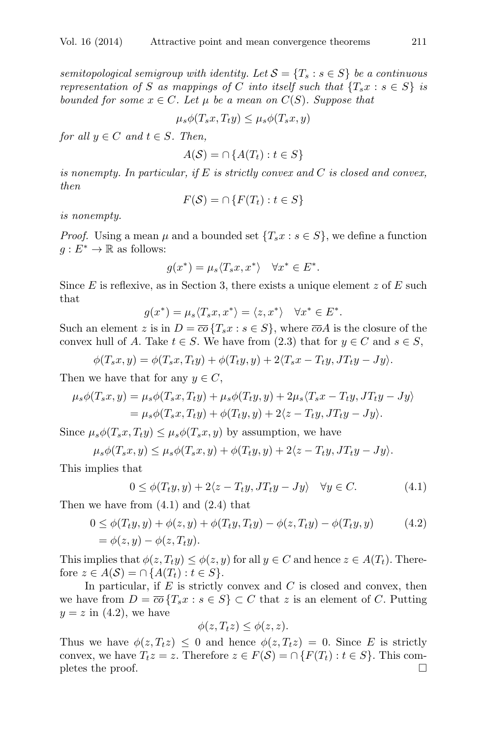*semitopological semigroup with identity. Let*  $S = \{T_s : s \in S\}$  *be a continuous representation of S as mappings of C into itself such that*  $\{T_s x : s \in S\}$  *is bounded for some*  $x \in C$ *. Let*  $\mu$  *be a mean on*  $C(S)$ *. Suppose that* 

$$
\mu_s \phi(T_s x, T_t y) \le \mu_s \phi(T_s x, y)
$$

*for all*  $y \in C$  *and*  $t \in S$ *. Then,* 

$$
A(S) = \cap \{A(T_t) : t \in S\}
$$

*is nonempty. In particular, if E is strictly convex and C is closed and convex, then*

$$
F(\mathcal{S}) = \cap \{ F(T_t) : t \in S \}
$$

*is nonempty.*

*Proof.* Using a mean  $\mu$  and a bounded set  $\{T_s x : s \in S\}$ , we define a function  $q: E^* \to \mathbb{R}$  as follows:

$$
g(x^*) = \mu_s \langle T_s x, x^* \rangle \quad \forall x^* \in E^*.
$$

Since *E* is reflexive, as in Section 3, there exists a unique element *z* of *E* such that

$$
g(x^*) = \mu_s \langle T_s x, x^* \rangle = \langle z, x^* \rangle \quad \forall x^* \in E^*.
$$

Such an element *z* is in  $D = \overline{co} \{T_s x : s \in S\}$ , where  $\overline{co}A$  is the closure of the convex hull of *A*. Take  $t \in S$ . We have from (2.3) that for  $y \in C$  and  $s \in S$ ,

$$
\phi(T_sx,y)=\phi(T_sx,T_ty)+\phi(T_ty,y)+2\langle T_sx-T_ty,JT_ty-Jy\rangle.
$$

Then we have that for any  $y \in C$ ,

$$
\mu_s \phi(T_s x, y) = \mu_s \phi(T_s x, T_t y) + \mu_s \phi(T_t y, y) + 2\mu_s \langle T_s x - T_t y, J T_t y - J y \rangle
$$
  
= 
$$
\mu_s \phi(T_s x, T_t y) + \phi(T_t y, y) + 2\langle z - T_t y, J T_t y - J y \rangle.
$$

Since  $\mu_s \phi(T_s x, T_t y) \leq \mu_s \phi(T_s x, y)$  by assumption, we have

$$
\mu_s \phi(T_s x, y) \le \mu_s \phi(T_s x, y) + \phi(T_t y, y) + 2\langle z - T_t y, J T_t y - J y \rangle.
$$

This implies that

$$
0 \le \phi(T_t y, y) + 2\langle z - T_t y, J T_t y - J y \rangle \quad \forall y \in C. \tag{4.1}
$$

Then we have from  $(4.1)$  and  $(2.4)$  that

$$
0 \le \phi(T_t y, y) + \phi(z, y) + \phi(T_t y, T_t y) - \phi(z, T_t y) - \phi(T_t y, y)
$$
(4.2)  
=  $\phi(z, y) - \phi(z, T_t y).$ 

This implies that  $\phi(z, T_t y) \leq \phi(z, y)$  for all  $y \in C$  and hence  $z \in A(T_t)$ . Therefore *z* ∈ *A*(*S*) = ∩ {*A*(*T*<sub>*t*</sub>) : *t* ∈ *S* }.

In particular, if *E* is strictly convex and *C* is closed and convex, then we have from  $D = \overline{co} \{T_s x : s \in S\} \subset C$  that *z* is an element of *C*. Putting  $y = z$  in  $(4.2)$ , we have

$$
\phi(z,T_t z) \leq \phi(z,z).
$$

Thus we have  $\phi(z, T_t z) \leq 0$  and hence  $\phi(z, T_t z) = 0$ . Since *E* is strictly convex, we have  $T_t z = z$ . Therefore  $z \in F(\mathcal{S}) = \cap \{F(T_t) : t \in S\}$ . This com-<br>pletes the proof. pletes the proof.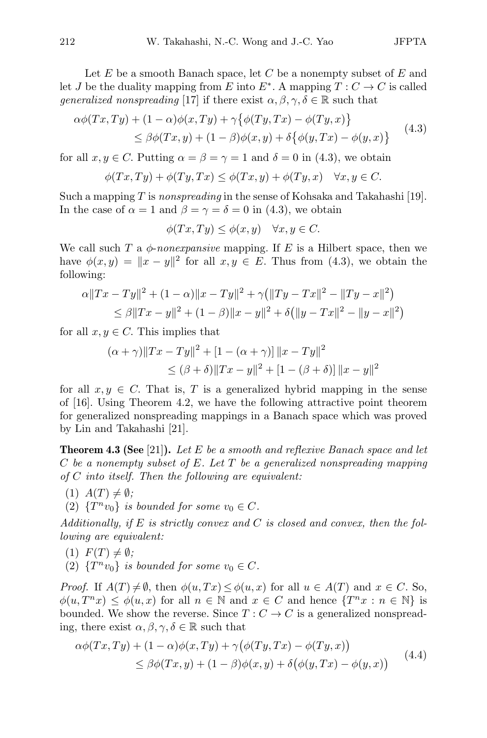Let *E* be a smooth Banach space, let *C* be a nonempty subset of *E* and let *J* be the duality mapping from *E* into  $E^*$ . A mapping  $T: C \to C$  is called *generalized nonspreading* [17] if there exist  $\alpha, \beta, \gamma, \delta \in \mathbb{R}$  such that

$$
\alpha\phi(Tx,Ty) + (1-\alpha)\phi(x,Ty) + \gamma\{\phi(Ty,Tx) - \phi(Ty,x)\}\
$$
  
\n
$$
\leq \beta\phi(Tx,y) + (1-\beta)\phi(x,y) + \delta\{\phi(y,Tx) - \phi(y,x)\}\
$$
\n(4.3)

for all  $x, y \in C$ . Putting  $\alpha = \beta = \gamma = 1$  and  $\delta = 0$  in (4.3), we obtain

$$
\phi(Tx,Ty) + \phi(Ty,Tx) \le \phi(Tx,y) + \phi(Ty,x) \quad \forall x, y \in C.
$$

Such a mapping *T* is *nonspreading* in the sense of Kohsaka and Takahashi [19]. In the case of  $\alpha = 1$  and  $\beta = \gamma = \delta = 0$  in (4.3), we obtain

$$
\phi(Tx, Ty) \le \phi(x, y) \quad \forall x, y \in C.
$$

We call such  $T$  a  $\phi$ -*nonexpansive* mapping. If  $E$  is a Hilbert space, then we have  $\phi(x, y) = ||x - y||^2$  for all  $x, y \in E$ . Thus from (4.3), we obtain the following:

$$
\alpha ||Tx - Ty||2 + (1 - \alpha) ||x - Ty||2 + \gamma (||Ty - Tx||2 - ||Ty - x||2)
$$
  
\n
$$
\leq \beta ||Tx - y||2 + (1 - \beta) ||x - y||2 + \delta (||y - Tx||2 - ||y - x||2)
$$

for all  $x, y \in C$ . This implies that

$$
(\alpha + \gamma) \|Tx - Ty\|^2 + [1 - (\alpha + \gamma)] \|x - Ty\|^2
$$
  
\n
$$
\leq (\beta + \delta) \|Tx - y\|^2 + [1 - (\beta + \delta)] \|x - y\|^2
$$

for all  $x, y \in C$ . That is, *T* is a generalized hybrid mapping in the sense of [16]. Using Theorem 4.2, we have the following attractive point theorem for generalized nonspreading mappings in a Banach space which was proved by Lin and Takahashi [21].

Theorem 4.3 (See [21]). *Let E be a smooth and reflexive Banach space and let C be a nonempty subset of E. Let T be a generalized nonspreading mapping of C into itself. Then the following are equivalent:*

- $(1)$   $A(T) \neq \emptyset$ ;
- (2)  $\{T^n v_0\}$  *is bounded for some*  $v_0 \in C$ *.*

*Additionally, if E is strictly convex and C is closed and convex, then the following are equivalent:*

- $(F(T) \neq \emptyset$ ;
- (2)  ${T^n v_0}$  *is bounded for some*  $v_0 \in C$ *.*

*Proof.* If  $A(T) \neq \emptyset$ , then  $\phi(u, Tx) \leq \phi(u, x)$  for all  $u \in A(T)$  and  $x \in C$ . So,  $\phi(u, T^n x) \leq \phi(u, x)$  for all  $n \in \mathbb{N}$  and  $x \in C$  and hence  $\{T^n x : n \in \mathbb{N}\}\$ is bounded. We show the reverse. Since  $T: C \to C$  is a generalized nonspreading, there exist  $\alpha, \beta, \gamma, \delta \in \mathbb{R}$  such that

$$
\alpha\phi(Tx,Ty) + (1-\alpha)\phi(x,Ty) + \gamma(\phi(Ty,Tx) - \phi(Ty,x))
$$
  
\n
$$
\leq \beta\phi(Tx,y) + (1-\beta)\phi(x,y) + \delta(\phi(y,Tx) - \phi(y,x))
$$
\n(4.4)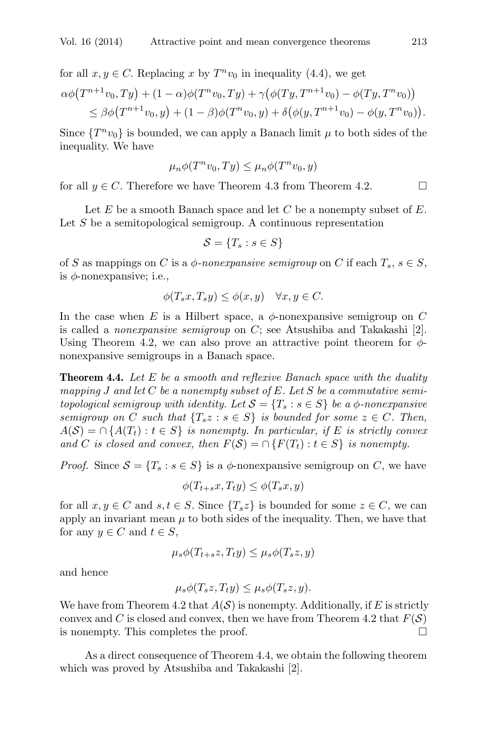for all  $x, y \in C$ . Replacing *x* by  $T^n v_0$  in inequality (4.4), we get  $\alpha\phi(T^{n+1}v_0,Ty) + (1-\alpha)\phi(T^n v_0,Ty) + \gamma(\phi(Ty,T^{n+1}v_0) - \phi(Ty,T^n v_0))$  $\leq \beta \phi(T^{n+1}v_0, y) + (1 - \beta)\phi(T^n v_0, y) + \delta(\phi(y, T^{n+1}v_0) - \phi(y, T^n v_0)).$ 

Since  ${T^n v_0}$  is bounded, we can apply a Banach limit  $\mu$  to both sides of the inequality. We have

$$
\mu_n \phi(T^n v_0, Ty) \le \mu_n \phi(T^n v_0, y)
$$

for all  $y \in C$ . Therefore we have Theorem 4.3 from Theorem 4.2.

Let *E* be a smooth Banach space and let *C* be a nonempty subset of *E*. Let *S* be a semitopological semigroup. A continuous representation

$$
\mathcal{S} = \{T_s : s \in S\}
$$

of *S* as mappings on *C* is a  $\phi$ -nonexpansive semigroup on *C* if each  $T_s$ ,  $s \in S$ , is *ϕ*-nonexpansive; i.e.,

$$
\phi(T_s x, T_s y) \le \phi(x, y) \quad \forall x, y \in C.
$$

In the case when  $E$  is a Hilbert space, a  $\phi$ -nonexpansive semigroup on  $C$ is called a *nonexpansive semigroup* on *C*; see Atsushiba and Takakashi [2]. Using Theorem 4.2, we can also prove an attractive point theorem for  $\phi$ nonexpansive semigroups in a Banach space.

Theorem 4.4. *Let E be a smooth and reflexive Banach space with the duality mapping J and let C be a nonempty subset of E. Let S be a commutative semitopological semigroup with identity. Let*  $S = \{T_s : s \in S\}$  *be a*  $\phi$ *-nonexpansive semigroup on C such that*  ${T_s z : s \in S}$  *is bounded for some*  $z \in C$ *. Then,*  $A(S) = \bigcap \{A(T_t) : t \in S\}$  *is nonempty. In particular, if E is strictly convex and C is closed and convex, then*  $F(S) = \bigcap \{F(T_t) : t \in S\}$  *is nonempty.* 

*Proof.* Since  $S = \{T_s : s \in S\}$  is a  $\phi$ -nonexpansive semigroup on *C*, we have

$$
\phi(T_{t+s}x, T_t y) \le \phi(T_s x, y)
$$

for all  $x, y \in C$  and  $s, t \in S$ . Since  $\{T_s z\}$  is bounded for some  $z \in C$ , we can apply an invariant mean  $\mu$  to both sides of the inequality. Then, we have that for any  $y \in C$  and  $t \in S$ ,

$$
\mu_s \phi(T_{t+s}z, T_t y) \le \mu_s \phi(T_s z, y)
$$

and hence

$$
\mu_s \phi(T_s z, T_t y) \le \mu_s \phi(T_s z, y).
$$

We have from Theorem 4.2 that  $A(S)$  is nonempty. Additionally, if E is strictly convex and *C* is closed and convex, then we have from Theorem 4.2 that  $F(S)$  is nonempty. This completes the proof. is nonempty. This completes the proof.

As a direct consequence of Theorem 4.4, we obtain the following theorem which was proved by Atsushiba and Takakashi [2].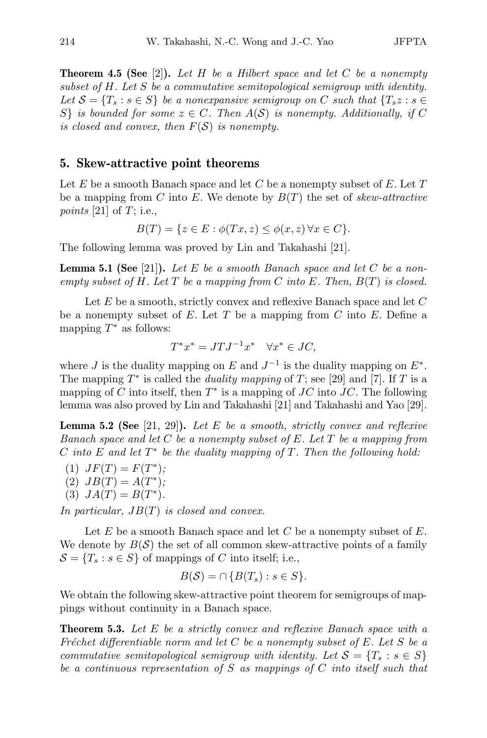Theorem 4.5 (See [2]). *Let H be a Hilbert space and let C be a nonempty subset of H. Let S be a commutative semitopological semigroup with identity. Let*  $S = \{T_s : s \in S\}$  *be a nonexpansive semigroup on C such that*  $\{T_s z : s \in S\}$ *S*<sup>*}*</sup> *is bounded for some*  $z \in C$ *. Then*  $A(S)$  *is nonempty. Additionally, if*  $C$ *is closed and convex, then F*(*S*) *is nonempty.*

# 5. Skew-attractive point theorems

Let *E* be a smooth Banach space and let *C* be a nonempty subset of *E*. Let *T* be a mapping from *C* into *E*. We denote by *B*(*T*) the set of *skew-attractive points* [21] of *T*; i.e.,

$$
B(T) = \{ z \in E : \phi(Tx, z) \le \phi(x, z) \,\forall x \in C \}.
$$

The following lemma was proved by Lin and Takahashi [21].

Lemma 5.1 (See [21]). *Let E be a smooth Banach space and let C be a nonempty subset of H. Let T be a mapping from C into E. Then, B*(*T*) *is closed.*

Let *E* be a smooth, strictly convex and reflexive Banach space and let *C* be a nonempty subset of *E*. Let *T* be a mapping from *C* into *E*. Define a mapping  $T^*$  as follows:

$$
T^*x^* = JTJ^{-1}x^* \quad \forall x^* \in JC,
$$

where *J* is the duality mapping on *E* and  $J^{-1}$  is the duality mapping on  $E^*$ . The mapping  $T^*$  is called the *duality mapping* of  $T$ ; see [29] and [7]. If  $T$  is a mapping of *C* into itself, then  $T^*$  is a mapping of *JC* into *JC*. The following lemma was also proved by Lin and Takahashi [21] and Takahashi and Yao [29].

Lemma 5.2 (See [21, 29]). *Let E be a smooth, strictly convex and reflexive Banach space and let C be a nonempty subset of E. Let T be a mapping from C into E and let T <sup>∗</sup> be the duality mapping of T. Then the following hold:*

 $JF(T) = F(T^*);$  $(B)$   $JB(T) = A(T^*)$ ;  $(A)$   $JA(T) = B(T^*).$ 

*In particular, JB*(*T*) *is closed and convex.*

Let *E* be a smooth Banach space and let *C* be a nonempty subset of *E*. We denote by  $B(\mathcal{S})$  the set of all common skew-attractive points of a family  $\mathcal{S} = \{T_s : s \in S\}$  of mappings of *C* into itself; i.e.,

$$
B(S) = \cap \{B(T_s) : s \in S\}.
$$

We obtain the following skew-attractive point theorem for semigroups of mappings without continuity in a Banach space.

Theorem 5.3. *Let E be a strictly convex and reflexive Banach space with a Fr´echet differentiable norm and let C be a nonempty subset of E. Let S be a commutative semitopological semigroup with identity. Let*  $S = \{T_s : s \in S\}$ *be a continuous representation of S as mappings of C into itself such that*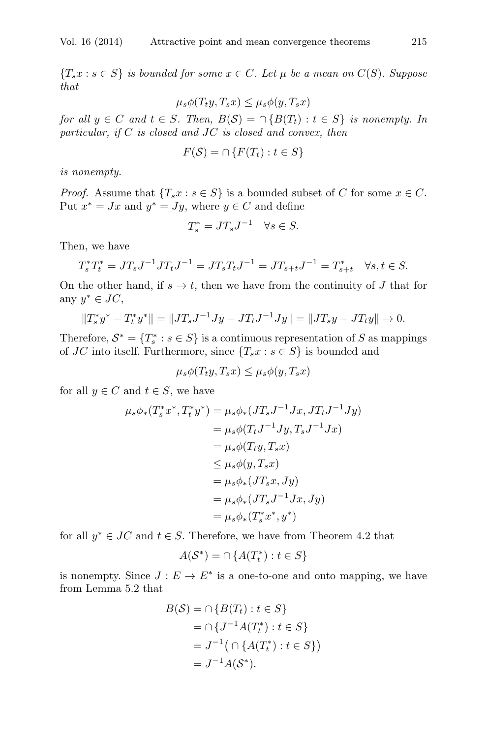${T_s x : s \in S}$  *is bounded for some*  $x \in C$ *. Let*  $\mu$  *be a mean on*  $C(S)$ *. Suppose that*

$$
\mu_s \phi(T_t y, T_s x) \le \mu_s \phi(y, T_s x)
$$

*for all*  $y \in C$  *and*  $t \in S$ *. Then,*  $B(S) = \bigcap \{B(T_t) : t \in S\}$  *is nonempty. In particular, if C is closed and JC is closed and convex, then*

$$
F(\mathcal{S}) = \cap \{ F(T_t) : t \in S \}
$$

*is nonempty.*

*Proof.* Assume that  ${T_s x : s \in S}$  is a bounded subset of *C* for some  $x \in C$ . Put  $x^* = Jx$  and  $y^* = Jy$ , where  $y \in C$  and define

$$
T_s^* = JT_s J^{-1} \quad \forall s \in S.
$$

Then, we have

$$
T_s^* T_t^* = J T_s J^{-1} J T_t J^{-1} = J T_s T_t J^{-1} = J T_{s+t} J^{-1} = T_{s+t}^* \quad \forall s, t \in S.
$$

On the other hand, if  $s \to t$ , then we have from the continuity of *J* that for any *y<sup>∗</sup> ∈ JC*,

$$
||T_s^*y^* - T_t^*y^*|| = ||JT_sJ^{-1}Jy - JT_tJ^{-1}Jy|| = ||JT_sy - JT_ty|| \to 0.
$$

Therefore,  $S^* = \{T^*_s : s \in S\}$  is a continuous representation of *S* as mappings of *JC* into itself. Furthermore, since  ${T_s x : s \in S}$  is bounded and

$$
\mu_s \phi(T_t y, T_s x) \le \mu_s \phi(y, T_s x)
$$

for all  $y \in C$  and  $t \in S$ , we have

$$
\mu_s \phi_* (T_s^* x^*, T_t^* y^*) = \mu_s \phi_* (J T_s J^{-1} J x, J T_t J^{-1} J y)
$$
  
=  $\mu_s \phi (T_t J^{-1} J y, T_s J^{-1} J x)$   
=  $\mu_s \phi (T_t y, T_s x)$   
 $\leq \mu_s \phi (y, T_s x)$   
=  $\mu_s \phi_* (J T_s x, J y)$   
=  $\mu_s \phi_* (J T_s J^{-1} J x, J y)$   
=  $\mu_s \phi_* (T_s^* x^*, y^*)$ 

for all  $y^* \in JC$  and  $t \in S$ . Therefore, we have from Theorem 4.2 that

$$
A(\mathcal{S}^*) = \cap \{A(T^*_t) : t \in S\}
$$

is nonempty. Since  $J: E \to E^*$  is a one-to-one and onto mapping, we have from Lemma 5.2 that

$$
B(S) = \cap \{B(T_t) : t \in S\}
$$
  
=  $\cap \{J^{-1}A(T_t^*) : t \in S\}$   
=  $J^{-1}(\cap \{A(T_t^*) : t \in S\})$   
=  $J^{-1}A(S^*).$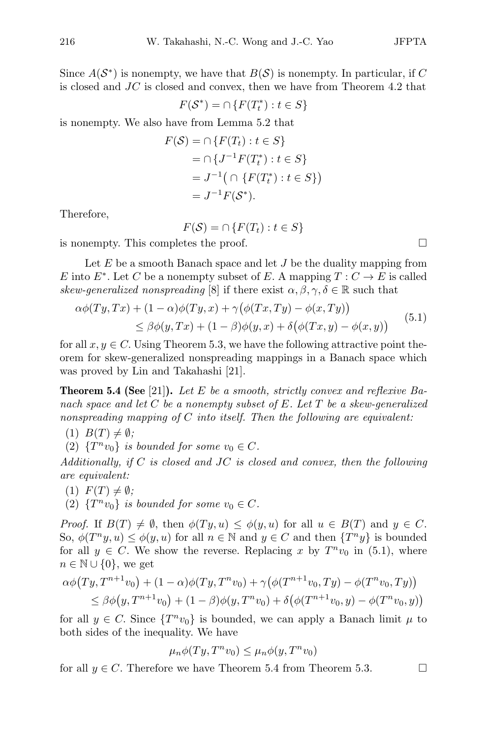Since  $A(S^*)$  is nonempty, we have that  $B(S)$  is nonempty. In particular, if C is closed and *JC* is closed and convex, then we have from Theorem 4.2 that

$$
F(\mathcal{S}^*) = \bigcap \{ F(T^*_t) : t \in S \}
$$

is nonempty. We also have from Lemma 5.2 that

$$
F(S) = \cap \{F(T_t) : t \in S\}
$$
  
=  $\cap \{J^{-1}F(T_t^*) : t \in S\}$   
=  $J^{-1}(\cap \{F(T_t^*) : t \in S\})$   
=  $J^{-1}F(S^*).$ 

Therefore,

$$
F(S) = \cap \{ F(T_t) : t \in S \}
$$

is nonempty. This completes the proof.

Let *E* be a smooth Banach space and let *J* be the duality mapping from *E* into  $E^*$ . Let *C* be a nonempty subset of *E*. A mapping  $T: C \to E$  is called *skew-generalized nonspreading* [8] if there exist  $\alpha, \beta, \gamma, \delta \in \mathbb{R}$  such that

$$
\alpha\phi(Ty,Tx) + (1-\alpha)\phi(Ty,x) + \gamma(\phi(Tx,Ty) - \phi(x,Ty))
$$
  
\n
$$
\leq \beta\phi(y,Tx) + (1-\beta)\phi(y,x) + \delta(\phi(Tx,y) - \phi(x,y))
$$
\n(5.1)

for all  $x, y \in C$ . Using Theorem 5.3, we have the following attractive point theorem for skew-generalized nonspreading mappings in a Banach space which was proved by Lin and Takahashi [21].

Theorem 5.4 (See [21]). *Let E be a smooth, strictly convex and reflexive Banach space and let C be a nonempty subset of E. Let T be a skew-generalized nonspreading mapping of C into itself. Then the following are equivalent:*

 $(B(T) \neq \emptyset;$ 

(2)  ${T^n v_0}$  *is bounded for some*  $v_0 \in C$ *.* 

*Additionally, if C is closed and JC is closed and convex, then the following are equivalent:*

- $(F(T) \neq \emptyset;$
- (2)  $\{T^n v_0\}$  *is bounded for some*  $v_0 \in C$ *.*

*Proof.* If  $B(T) \neq \emptyset$ , then  $\phi(Ty, u) \leq \phi(y, u)$  for all  $u \in B(T)$  and  $y \in C$ . So,  $\phi(T^n y, u) \leq \phi(y, u)$  for all  $n \in \mathbb{N}$  and  $y \in C$  and then  $\{T^n y\}$  is bounded for all  $y \in C$ . We show the reverse. Replacing x by  $T^n v_0$  in (5.1), where *n* ∈  $\mathbb{N} \cup \{0\}$ , we get

$$
\alpha\phi(Ty, T^{n+1}v_0) + (1 - \alpha)\phi(Ty, T^nv_0) + \gamma(\phi(T^{n+1}v_0, Ty) - \phi(T^nv_0, Ty))
$$
  
\n
$$
\leq \beta\phi(y, T^{n+1}v_0) + (1 - \beta)\phi(y, T^nv_0) + \delta(\phi(T^{n+1}v_0, y) - \phi(T^nv_0, y))
$$

for all  $y \in C$ . Since  $\{T^n v_0\}$  is bounded, we can apply a Banach limit  $\mu$  to both sides of the inequality. We have

$$
\mu_n \phi(Ty, T^n v_0) \le \mu_n \phi(y, T^n v_0)
$$

for all  $y \in C$ . Therefore we have Theorem 5.4 from Theorem 5.3.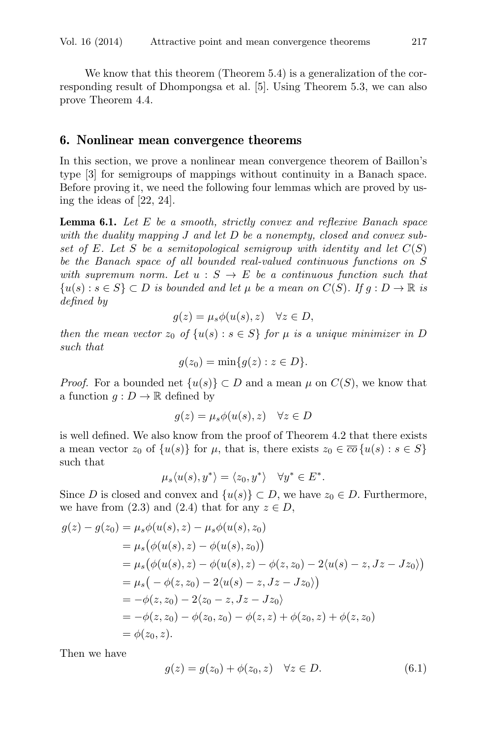We know that this theorem (Theorem 5.4) is a generalization of the corresponding result of Dhompongsa et al. [5]. Using Theorem 5.3, we can also prove Theorem 4.4.

#### 6. Nonlinear mean convergence theorems

In this section, we prove a nonlinear mean convergence theorem of Baillon's type [3] for semigroups of mappings without continuity in a Banach space. Before proving it, we need the following four lemmas which are proved by using the ideas of [22, 24].

Lemma 6.1. *Let E be a smooth, strictly convex and reflexive Banach space with the duality mapping J and let D be a nonempty, closed and convex subset of E. Let S be a semitopological semigroup with identity and let C*(*S*) *be the Banach space of all bounded real-valued continuous functions on S with supremum norm. Let*  $u : S \to E$  *be a continuous function such that {* $u(s)$  : *s* ∈ *S*} ⊂ *D is bounded and let*  $\mu$  *be a mean on*  $C(S)$ *. If*  $g : D \to \mathbb{R}$  *is defined by*

$$
g(z) = \mu_s \phi(u(s), z) \quad \forall z \in D,
$$

*then the mean vector*  $z_0$  *of*  $\{u(s): s \in S\}$  *for*  $\mu$  *is a unique minimizer in*  $D$ *such that*

$$
g(z_0)=\min\{g(z):z\in D\}.
$$

*Proof.* For a bounded net  $\{u(s)\}\subset D$  and a mean  $\mu$  on  $C(S)$ , we know that a function  $q: D \to \mathbb{R}$  defined by

$$
g(z) = \mu_s \phi(u(s), z) \quad \forall z \in D
$$

is well defined. We also know from the proof of Theorem 4.2 that there exists a mean vector  $z_0$  of  $\{u(s)\}\$ for  $\mu$ , that is, there exists  $z_0 \in \overline{co} \{u(s) : s \in S\}$ such that

$$
\mu_s \langle u(s), y^* \rangle = \langle z_0, y^* \rangle \quad \forall y^* \in E^*.
$$

Since *D* is closed and convex and  $\{u(s)\}\subset D$ , we have  $z_0\in D$ . Furthermore, we have from  $(2.3)$  and  $(2.4)$  that for any  $z \in D$ ,

$$
g(z) - g(z_0) = \mu_s \phi(u(s), z) - \mu_s \phi(u(s), z_0)
$$
  
=  $\mu_s (\phi(u(s), z) - \phi(u(s), z_0))$   
=  $\mu_s (\phi(u(s), z) - \phi(u(s), z) - \phi(z, z_0) - 2\langle u(s) - z, Jz - Jz_0 \rangle)$   
=  $\mu_s (-\phi(z, z_0) - 2\langle u(s) - z, Jz - Jz_0 \rangle)$   
=  $-\phi(z, z_0) - 2\langle z_0 - z, Jz - Jz_0 \rangle$   
=  $-\phi(z, z_0) - \phi(z_0, z_0) - \phi(z, z) + \phi(z_0, z) + \phi(z, z_0)$   
=  $\phi(z_0, z).$ 

Then we have

$$
g(z) = g(z_0) + \phi(z_0, z) \quad \forall z \in D.
$$
 (6.1)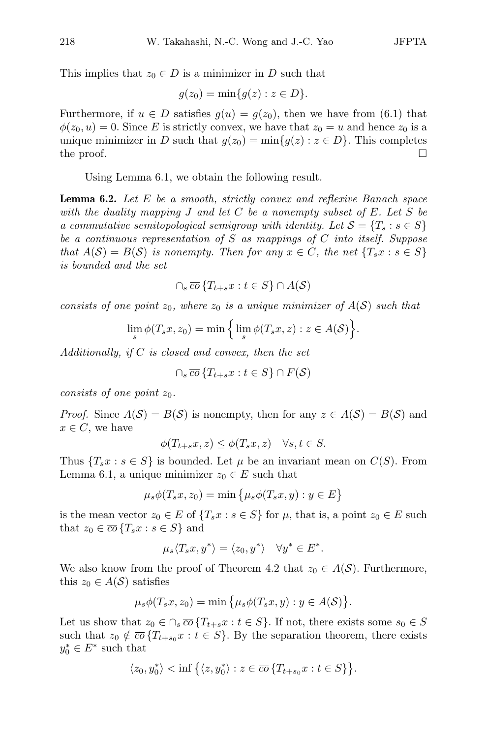This implies that  $z_0 \in D$  is a minimizer in *D* such that

$$
g(z_0)=\min\{g(z):z\in D\}.
$$

Furthermore, if  $u \in D$  satisfies  $q(u) = q(z_0)$ , then we have from (6.1) that  $\phi(z_0, u) = 0$ . Since *E* is strictly convex, we have that  $z_0 = u$  and hence  $z_0$  is a unique minimizer in *D* such that  $g(z_0) = \min\{g(z) : z \in D\}$ . This completes the proof. the proof.  $\Box$ 

Using Lemma 6.1, we obtain the following result.

Lemma 6.2. *Let E be a smooth, strictly convex and reflexive Banach space with the duality mapping J and let C be a nonempty subset of E. Let S be a commutative semitopological semigroup with identity. Let*  $S = \{T_s : s \in S\}$ *be a continuous representation of S as mappings of C into itself. Suppose that*  $A(S) = B(S)$  *is nonempty. Then for any*  $x \in C$ *, the net*  $\{T_s x : s \in S\}$ *is bounded and the set*

$$
\cap_s \overline{co} \{T_{t+s}x : t \in S\} \cap A(\mathcal{S})
$$

*consists of one point*  $z_0$ , where  $z_0$  *is a unique minimizer of*  $A(S)$  *such that* 

$$
\lim_{s} \phi(T_s x, z_0) = \min \Big\{ \lim_{s} \phi(T_s x, z) : z \in A(S) \Big\}.
$$

*Additionally, if C is closed and convex, then the set*

$$
\bigcap_s \overline{co} \left\{ T_{t+s} x : t \in S \right\} \cap F(\mathcal{S})
$$

*consists of one point z*0*.*

*Proof.* Since  $A(S) = B(S)$  is nonempty, then for any  $z \in A(S) = B(S)$  and  $x \in C$ , we have

$$
\phi(T_{t+s}x, z) \le \phi(T_s x, z) \quad \forall s, t \in S.
$$

Thus  ${T_s x : s \in S}$  is bounded. Let  $\mu$  be an invariant mean on  $C(S)$ . From Lemma 6.1, a unique minimizer  $z_0 \in E$  such that

$$
\mu_s \phi(T_s x, z_0) = \min \{ \mu_s \phi(T_s x, y) : y \in E \}
$$

is the mean vector  $z_0 \in E$  of  $\{T_s x : s \in S\}$  for  $\mu$ , that is, a point  $z_0 \in E$  such that  $z_0 \in \overline{co} \{T_s x : s \in S\}$  and

$$
\mu_s \langle T_s x, y^* \rangle = \langle z_0, y^* \rangle \quad \forall y^* \in E^*.
$$

We also know from the proof of Theorem 4.2 that  $z_0 \in A(S)$ . Furthermore, this  $z_0 \in A(S)$  satisfies

$$
\mu_s \phi(T_s x, z_0) = \min \big\{ \mu_s \phi(T_s x, y) : y \in A(S) \big\}.
$$

Let us show that  $z_0 \in \bigcap_s \overline{co} \{T_{t+s}x : t \in S\}$ . If not, there exists some  $s_0 \in S$ such that  $z_0 \notin \overline{co} \{T_{t+s_0}x : t \in S\}$ . By the separation theorem, there exists  $y_0^* \in E^*$  such that

$$
\langle z_0, y_0^* \rangle < \inf \big\{ \langle z, y_0^* \rangle : z \in \overline{co} \{ T_{t+s_0} x : t \in S \} \big\}.
$$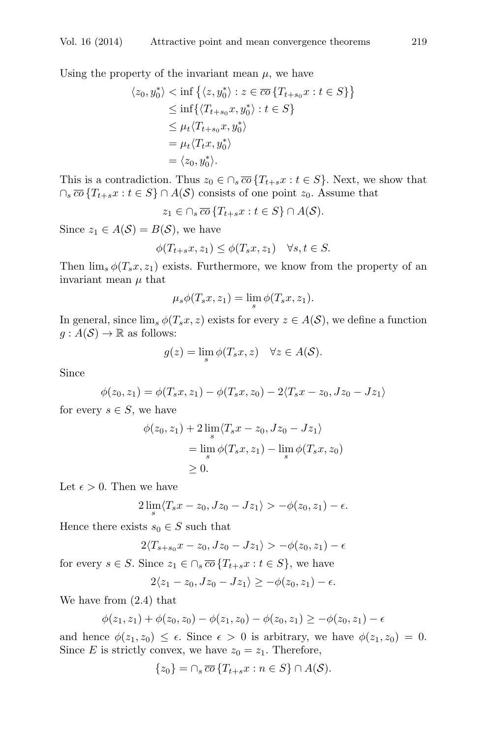Using the property of the invariant mean  $\mu$ , we have

$$
\langle z_0, y_0^* \rangle < \inf \{ \langle z, y_0^* \rangle : z \in \overline{co} \{ T_{t+s_0} x : t \in S \} \} \n\leq \inf \{ \langle T_{t+s_0} x, y_0^* \rangle : t \in S \} \n\leq \mu_t \langle T_{t+s_0} x, y_0^* \rangle \n= \mu_t \langle T_t x, y_0^* \rangle \n= \langle z_0, y_0^* \rangle.
$$

This is a contradiction. Thus  $z_0 \in \bigcap_s \overline{co} \{T_{t+s}x : t \in S\}$ . Next, we show that  $∩$ *s*  $\overline{co}$  { $T$ <sub>*t*+*s*</sub>*x* : *t*  $\in$  *S*} ∩ *A*(*S*) consists of one point *z*<sub>0</sub>. Assume that

 $z_1 \in \bigcap_s \overline{co} \{T_{t+s}x : t \in S\} \cap A(\mathcal{S}).$ 

Since  $z_1 \in A(S) = B(S)$ , we have

$$
\phi(T_{t+s}x, z_1) \le \phi(T_s x, z_1) \quad \forall s, t \in S.
$$

Then  $\lim_{s} \phi(T_s x, z_1)$  exists. Furthermore, we know from the property of an invariant mean  $\mu$  that

$$
\mu_s \phi(T_s x, z_1) = \lim_s \phi(T_s x, z_1).
$$

In general, since  $\lim_{s} \phi(T_s x, z)$  exists for every  $z \in A(S)$ , we define a function  $g: A(S) \to \mathbb{R}$  as follows:

$$
g(z) = \lim_{s} \phi(T_s x, z) \quad \forall z \in A(S).
$$

Since

$$
\phi(z_0, z_1) = \phi(T_s x, z_1) - \phi(T_s x, z_0) - 2\langle T_s x - z_0, Jz_0 - Jz_1 \rangle
$$

for every  $s \in S$ , we have

$$
\phi(z_0, z_1) + 2 \lim_{s} \langle T_s x - z_0, Jz_0 - Jz_1 \rangle
$$
  
= 
$$
\lim_{s} \phi(T_s x, z_1) - \lim_{s} \phi(T_s x, z_0)
$$
  

$$
\geq 0.
$$

Let  $\epsilon > 0$ . Then we have

$$
2\lim_{s}\langle T_{s}x-z_{0},Jz_{0}-Jz_{1}\rangle>-\phi(z_{0},z_{1})-\epsilon.
$$

Hence there exists  $s_0 \in S$  such that

$$
2\langle T_{s+s_0}x-z_0, Jz_0-Jz_1\rangle > -\phi(z_0, z_1) - \epsilon
$$

for every  $s \in S$ . Since  $z_1 \in \bigcap_s \overline{co} \{T_{t+s}x : t \in S\}$ , we have

$$
2\langle z_1-z_0, Jz_0-Jz_1\rangle\geq -\phi(z_0,z_1)-\epsilon.
$$

We have from (2.4) that

$$
\phi(z_1, z_1) + \phi(z_0, z_0) - \phi(z_1, z_0) - \phi(z_0, z_1) \ge -\phi(z_0, z_1) - \epsilon
$$

and hence  $\phi(z_1, z_0) \leq \epsilon$ . Since  $\epsilon > 0$  is arbitrary, we have  $\phi(z_1, z_0) = 0$ . Since *E* is strictly convex, we have  $z_0 = z_1$ . Therefore,

$$
\{z_0\} = \cap_s \overline{co} \{T_{t+s}x : n \in S\} \cap A(S).
$$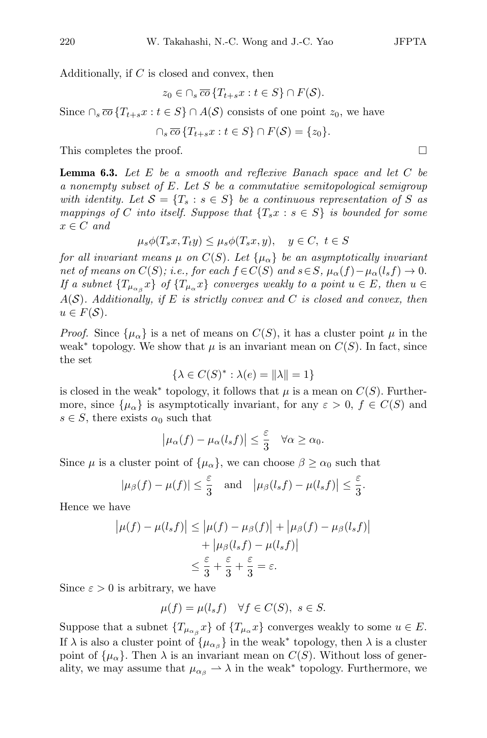Additionally, if *C* is closed and convex, then

$$
z_0 \in \cap_s \overline{co} \{T_{t+s}x : t \in S\} \cap F(\mathcal{S}).
$$

Since  $\cap_s \overline{co} \{T_{t+s}x : t \in S\} \cap A(\mathcal{S})$  consists of one point  $z_0$ , we have

$$
\cap_s \overline{co} \{T_{t+s}x : t \in S\} \cap F(\mathcal{S}) = \{z_0\}.
$$

This completes the proof.

Lemma 6.3. *Let E be a smooth and reflexive Banach space and let C be a nonempty subset of E. Let S be a commutative semitopological semigroup with identity. Let*  $S = \{T_s : s \in S\}$  *be a continuous representation of S as mappings of C into itself. Suppose that*  ${T_s x : s \in S}$  *is bounded for some*  $x \in C$  *and* 

$$
\mu_s \phi(T_s x, T_t y) \le \mu_s \phi(T_s x, y), \quad y \in C, \ t \in S
$$

*for all invariant means*  $\mu$  *on*  $C(S)$ *. Let*  $\{\mu_{\alpha}\}\$  *be an asymptotically invariant* net of means on  $C(S)$ ; i.e., for each  $f \in C(S)$  and  $s \in S$ ,  $\mu_{\alpha}(f) - \mu_{\alpha}(l_s f) \to 0$ . *If a* subnet  $\{T_{\mu_{\alpha}}\}$  *of*  $\{T_{\mu_{\alpha}}x\}$  converges weakly to a point  $u \in E$ *, then*  $u \in E$ *A*(*S*)*. Additionally, if E is strictly convex and C is closed and convex, then*  $u \in F(\mathcal{S})$ .

*Proof.* Since  $\{\mu_{\alpha}\}\$ is a net of means on  $C(S)$ , it has a cluster point  $\mu$  in the weak<sup>\*</sup> topology. We show that  $\mu$  is an invariant mean on  $C(S)$ . In fact, since the set

$$
\{\lambda \in C(S)^* : \lambda(e) = ||\lambda|| = 1\}
$$

is closed in the weak<sup>\*</sup> topology, it follows that  $\mu$  is a mean on  $C(S)$ . Furthermore, since  $\{\mu_{\alpha}\}\$ is asymptotically invariant, for any  $\varepsilon > 0$ ,  $f \in C(S)$  and  $s \in S$ , there exists  $\alpha_0$  such that

$$
\left|\mu_{\alpha}(f) - \mu_{\alpha}(l_s f)\right| \leq \frac{\varepsilon}{3} \quad \forall \alpha \geq \alpha_0.
$$

Since  $\mu$  is a cluster point of  $\{\mu_{\alpha}\}\)$ , we can choose  $\beta \geq \alpha_0$  such that

$$
|\mu_{\beta}(f) - \mu(f)| \leq \frac{\varepsilon}{3}
$$
 and  $|\mu_{\beta}(l_s f) - \mu(l_s f)| \leq \frac{\varepsilon}{3}$ .

Hence we have

$$
\left|\mu(f) - \mu(l_s f)\right| \le \left|\mu(f) - \mu_\beta(f)\right| + \left|\mu_\beta(f) - \mu_\beta(l_s f)\right|
$$
  
+ 
$$
\left|\mu_\beta(l_s f) - \mu(l_s f)\right|
$$
  

$$
\le \frac{\varepsilon}{3} + \frac{\varepsilon}{3} + \frac{\varepsilon}{3} = \varepsilon.
$$

Since  $\varepsilon > 0$  is arbitrary, we have

$$
\mu(f) = \mu(l_s f) \quad \forall f \in C(S), \ s \in S.
$$

Suppose that a subnet  $\{T_{\mu_{\alpha}}\}$  of  $\{T_{\mu_{\alpha}}x\}$  converges weakly to some  $u \in E$ . If  $\lambda$  is also a cluster point of  $\{\mu_{\alpha} \}$  in the weak<sup>\*</sup> topology, then  $\lambda$  is a cluster point of  $\{\mu_{\alpha}\}\$ . Then  $\lambda$  is an invariant mean on  $C(S)$ . Without loss of generality, we may assume that  $\mu_{\alpha\beta} \rightarrow \lambda$  in the weak<sup>\*</sup> topology. Furthermore, we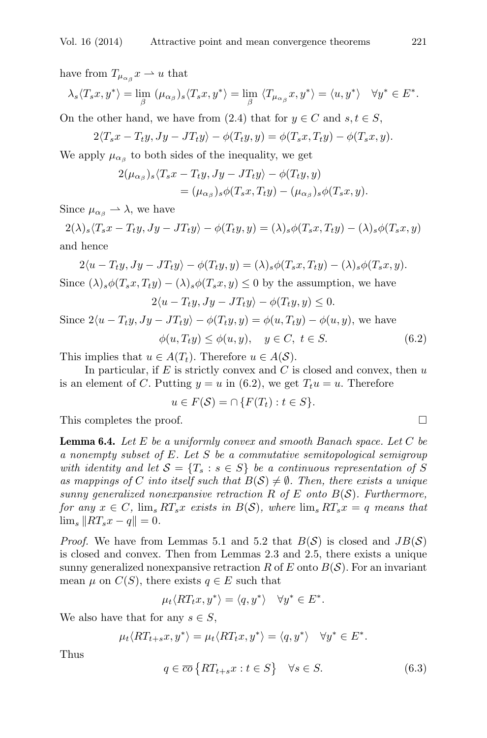have from  $T_{\mu_{\alpha}g}x \rightharpoonup u$  that

$$
\lambda_s \langle T_s x, y^* \rangle = \lim_{\beta} (\mu_{\alpha_{\beta}})_s \langle T_s x, y^* \rangle = \lim_{\beta} \langle T_{\mu_{\alpha_{\beta}}} x, y^* \rangle = \langle u, y^* \rangle \quad \forall y^* \in E^*.
$$

On the other hand, we have from (2.4) that for  $y \in C$  and  $s, t \in S$ ,

$$
2\langle T_sx-T_ty, Jy-JT_ty\rangle-\phi(T_ty,y)=\phi(T_sx,T_ty)-\phi(T_sx,y).
$$

We apply  $\mu_{\alpha}$  to both sides of the inequality, we get

$$
2(\mu_{\alpha\beta})_s \langle T_s x - T_t y, Jy - JT_t y \rangle - \phi(T_t y, y)
$$
  
=  $(\mu_{\alpha\beta})_s \phi(T_s x, T_t y) - (\mu_{\alpha\beta})_s \phi(T_s x, y).$ 

Since  $\mu_{\alpha\beta} \rightarrow \lambda$ , we have

 $2(\lambda)_s \langle T_s x - T_t y, J y - J T_t y \rangle - \phi(T_t y, y) = (\lambda)_s \phi(T_s x, T_t y) - (\lambda)_s \phi(T_s x, y)$ and hence

 $2\langle u-T_ty, Jy-JT_ty\rangle-\phi(T_ty,y)=(\lambda)_s\phi(T_sx,T_ty)-(\lambda)_s\phi(T_sx,y).$ Since  $(\lambda)_s \phi(T_s x, T_t y) - (\lambda)_s \phi(T_s x, y) \leq 0$  by the assumption, we have

$$
2\langle u - T_t y, Jy - JT_t y \rangle - \phi(T_t y, y) \le 0.
$$
  
Since  $2\langle u - T_t y, Jy - JT_t y \rangle - \phi(T_t y, y) = \phi(u, T_t y) - \phi(u, y)$ , we have  

$$
\phi(u, T_t y) \le \phi(u, y), \quad y \in C, \ t \in S.
$$
 (6.2)

This implies that  $u \in A(T_t)$ . Therefore  $u \in A(S)$ .

In particular, if *E* is strictly convex and *C* is closed and convex, then *u* is an element of *C*. Putting  $y = u$  in (6.2), we get  $T_t u = u$ . Therefore

$$
u \in F(\mathcal{S}) = \cap \{ F(T_t) : t \in S \}.
$$

This completes the proof.  $\Box$ 

Lemma 6.4. *Let E be a uniformly convex and smooth Banach space. Let C be a nonempty subset of E. Let S be a commutative semitopological semigroup with identity and let*  $S = \{T_s : s \in S\}$  *be a continuous representation of S as mappings of C into itself such that*  $B(S) \neq \emptyset$ *. Then, there exists a unique sunny generalized nonexpansive retraction R of E onto B*(*S*)*. Furthermore, for any*  $x \in C$ ,  $\lim_{s} RT_s x$  *exists in*  $B(S)$ *, where*  $\lim_{s} RT_s x = q$  *means that*  $\lim_{s} \|RT_{s}x - q\| = 0.$ 

*Proof.* We have from Lemmas 5.1 and 5.2 that  $B(S)$  is closed and  $JB(S)$ is closed and convex. Then from Lemmas 2.3 and 2.5, there exists a unique sunny generalized nonexpansive retraction  $R$  of  $E$  onto  $B(S)$ . For an invariant mean  $\mu$  on  $C(S)$ , there exists  $q \in E$  such that

$$
\mu_t \langle RT_t x, y^* \rangle = \langle q, y^* \rangle \quad \forall y^* \in E^*.
$$

We also have that for any  $s \in S$ ,

$$
\mu_t \langle RT_{t+s}x, y^* \rangle = \mu_t \langle RT_t x, y^* \rangle = \langle q, y^* \rangle \quad \forall y^* \in E^*.
$$

Thus

$$
q \in \overline{co} \{ RT_{t+s} x : t \in S \} \quad \forall s \in S. \tag{6.3}
$$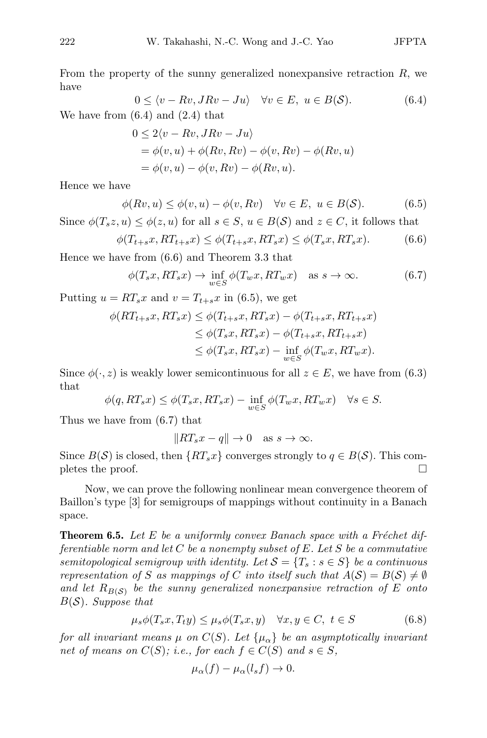From the property of the sunny generalized nonexpansive retraction *R*, we have

$$
0 \le \langle v - Rv, JRv - Ju \rangle \quad \forall v \in E, \ u \in B(S). \tag{6.4}
$$

We have from  $(6.4)$  and  $(2.4)$  that

$$
0 \le 2\langle v - Rv, JRv - Ju \rangle
$$
  
=  $\phi(v, u) + \phi(Rv, Rv) - \phi(v, Rv) - \phi(Rv, u)$   
=  $\phi(v, u) - \phi(v, Rv) - \phi(Rv, u)$ .

Hence we have

$$
\phi(Rv, u) \le \phi(v, u) - \phi(v, Rv) \quad \forall v \in E, \ u \in B(S). \tag{6.5}
$$

Since  $\phi(T_s z, u) \leq \phi(z, u)$  for all  $s \in S$ ,  $u \in B(S)$  and  $z \in C$ , it follows that

$$
\phi(T_{t+s}x, RT_{t+s}x) \le \phi(T_{t+s}x, RT_sx) \le \phi(T_sx, RT_sx). \tag{6.6}
$$

Hence we have from (6.6) and Theorem 3.3 that

$$
\phi(T_s x, RT_s x) \to \inf_{w \in S} \phi(T_w x, RT_w x) \quad \text{as } s \to \infty.
$$
 (6.7)

Putting  $u = RT_s x$  and  $v = T_{t+s} x$  in (6.5), we get

$$
\phi(RT_{t+s}x, RT_sx) \leq \phi(T_{t+s}x, RT_sx) - \phi(T_{t+s}x, RT_{t+s}x)
$$
  
\n
$$
\leq \phi(T_sx, RT_sx) - \phi(T_{t+s}x, RT_{t+s}x)
$$
  
\n
$$
\leq \phi(T_sx, RT_sx) - \inf_{w \in S} \phi(T_wx, RT_wx).
$$

Since  $\phi(\cdot, z)$  is weakly lower semicontinuous for all  $z \in E$ , we have from (6.3) that

$$
\phi(q, RT_s x) \le \phi(T_s x, RT_s x) - \inf_{w \in S} \phi(T_w x, RT_w x) \quad \forall s \in S.
$$

Thus we have from (6.7) that

$$
||RT_s x - q|| \to 0 \text{ as } s \to \infty.
$$

Since  $B(S)$  is closed, then  $\{RT_sx\}$  converges strongly to  $q \in B(S)$ . This completes the proof.

Now, we can prove the following nonlinear mean convergence theorem of Baillon's type [3] for semigroups of mappings without continuity in a Banach space.

**Theorem 6.5.** Let E be a uniformly convex Banach space with a Fréchet dif*ferentiable norm and let C be a nonempty subset of E. Let S be a commutative semitopological semigroup with identity. Let*  $S = \{T_s : s \in S\}$  *be a continuous representation of S as mappings of C into itself such that*  $A(S) = B(S) \neq \emptyset$ and let  $R_{B(S)}$  be the sunny generalized nonexpansive retraction of E onto *B*(*S*)*. Suppose that*

$$
\mu_s \phi(T_s x, T_t y) \le \mu_s \phi(T_s x, y) \quad \forall x, y \in C, \ t \in S \tag{6.8}
$$

*for all invariant means*  $\mu$  *on*  $C(S)$ *. Let*  $\{\mu_{\alpha}\}\$  *be an asymptotically invariant net of means on*  $C(S)$ ; *i.e., for each*  $f \in C(S)$  *and*  $s \in S$ *,* 

$$
\mu_{\alpha}(f) - \mu_{\alpha}(l_s f) \to 0.
$$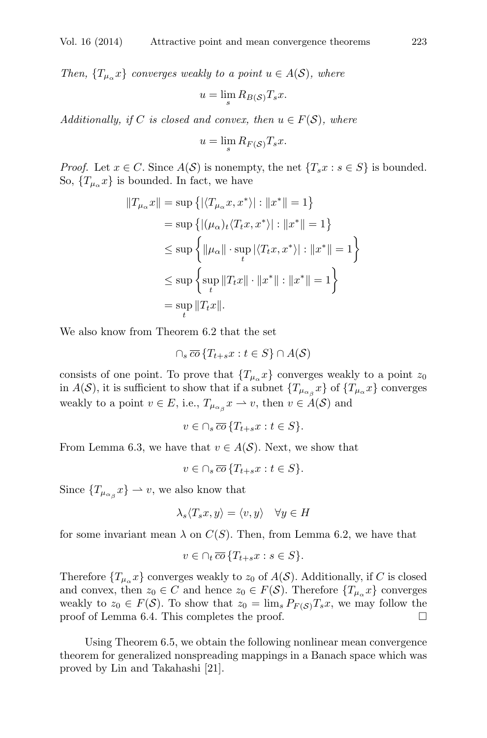*Then,*  $\{T_{\mu_{\alpha}}x\}$  *converges weakly to a point*  $u \in A(S)$ *, where* 

$$
u = \lim_{s} R_{B(\mathcal{S})} T_s x.
$$

*Additionally, if C is closed and convex, then*  $u \in F(S)$ *, where* 

$$
u = \lim_{s} R_{F(\mathcal{S})} T_s x.
$$

*Proof.* Let  $x \in C$ . Since  $A(S)$  is nonempty, the net  $\{T_s x : s \in S\}$  is bounded. So,  ${T_{\mu_{\alpha}}x}$  is bounded. In fact, we have

$$
||T_{\mu_{\alpha}}x|| = \sup \{ |\langle T_{\mu_{\alpha}}x, x^* \rangle| : ||x^*|| = 1 \}
$$
  
=  $\sup \{ |(\mu_{\alpha})_t \langle T_t x, x^* \rangle| : ||x^*|| = 1 \}$   
 $\leq \sup \{ ||\mu_{\alpha}|| \cdot \sup_t |\langle T_t x, x^* \rangle| : ||x^*|| = 1 \}$   
 $\leq \sup \{ \sup_t ||T_t x|| \cdot ||x^*|| : ||x^*|| = 1 \}$   
=  $\sup_t ||T_t x||$ .

We also know from Theorem 6.2 that the set

$$
\cap_s \overline{co} \{T_{t+s}x : t \in S\} \cap A(\mathcal{S})
$$

consists of one point. To prove that  ${T<sub>µ<sub>a</sub>}x</sub>$  converges weakly to a point  $z_0$ in *A*(*S*), it is sufficient to show that if a subnet  $\{T_{\mu_{\alpha\beta}}x\}$  of  $\{T_{\mu_{\alpha}}x\}$  converges weakly to a point  $v \in E$ , i.e.,  $T_{\mu_{\alpha} g} x \to v$ , then  $v \in A(S)$  and

$$
v \in \cap_s \overline{co} \, \{T_{t+s}x : t \in S\}.
$$

From Lemma 6.3, we have that  $v \in A(S)$ . Next, we show that

 $v \in \bigcap_{s} \overline{co} \{T_{t+s}x : t \in S\}.$ 

Since  ${T_{\mu_{\alpha}}x} \rightarrow v$ , we also know that

$$
\lambda_s \langle T_s x, y \rangle = \langle v, y \rangle \quad \forall y \in H
$$

for some invariant mean  $\lambda$  on  $C(S)$ . Then, from Lemma 6.2, we have that

$$
v \in \cap_t \overline{co} \, \{T_{t+s}x : s \in S\}.
$$

Therefore  ${T_{\mu_{\alpha}}x}$  converges weakly to  $z_0$  of  $A(S)$ . Additionally, if *C* is closed and convex, then  $z_0 \in C$  and hence  $z_0 \in F(S)$ . Therefore  $\{T_{\mu_\alpha}x\}$  converges weakly to  $z_0 \in F(\mathcal{S})$ . To show that  $z_0 = \lim_s P_{F(\mathcal{S})} T_s x$ , we may follow the proof of Lemma 6.4. This completes the proof. proof of Lemma 6.4. This completes the proof.

Using Theorem 6.5, we obtain the following nonlinear mean convergence theorem for generalized nonspreading mappings in a Banach space which was proved by Lin and Takahashi [21].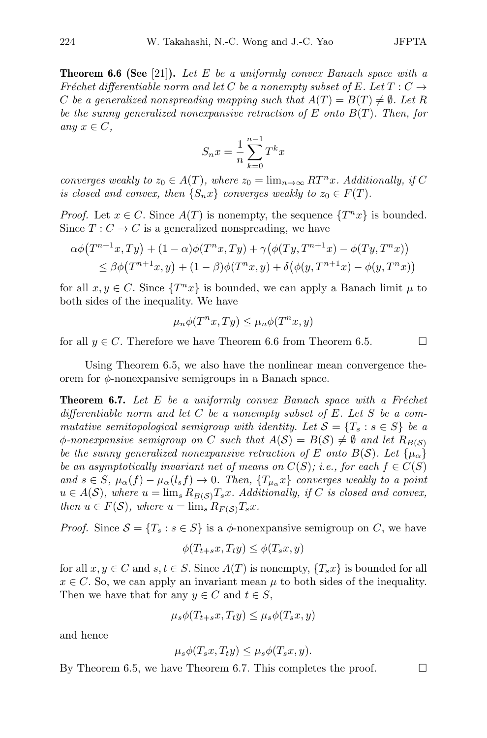Theorem 6.6 (See [21]). *Let E be a uniformly convex Banach space with a Fréchet differentiable norm and let C be a nonempty subset of*  $E$ *. Let*  $T: C \rightarrow$ *C* be a generalized nonspreading mapping such that  $A(T) = B(T) \neq \emptyset$ . Let R *be the sunny generalized nonexpansive retraction of E onto B*(*T*)*. Then, for*  $any \; x \in C$ ,

$$
S_n x = \frac{1}{n} \sum_{k=0}^{n-1} T^k x
$$

*converges weakly to*  $z_0 \in A(T)$ *, where*  $z_0 = \lim_{n \to \infty} RT^n x$ *. Additionally, if* C *is closed and convex, then*  $\{S_n x\}$  *converges weakly to*  $z_0 \in F(T)$ *.* 

*Proof.* Let  $x \in C$ . Since  $A(T)$  is nonempty, the sequence  $\{T^n x\}$  is bounded. Since  $T: C \to C$  is a generalized nonspreading, we have

$$
\alpha \phi(T^{n+1}x, Ty) + (1 - \alpha)\phi(T^n x, Ty) + \gamma(\phi(Ty, T^{n+1}x) - \phi(Ty, T^n x))
$$
  
\n
$$
\leq \beta \phi(T^{n+1}x, y) + (1 - \beta)\phi(T^n x, y) + \delta(\phi(y, T^{n+1}x) - \phi(y, T^n x))
$$

for all  $x, y \in C$ . Since  $\{T^n x\}$  is bounded, we can apply a Banach limit  $\mu$  to both sides of the inequality. We have

$$
\mu_n \phi(T^n x, Ty) \le \mu_n \phi(T^n x, y)
$$

for all  $y \in C$ . Therefore we have Theorem 6.6 from Theorem 6.5.

Using Theorem 6.5, we also have the nonlinear mean convergence theorem for *ϕ*-nonexpansive semigroups in a Banach space.

**Theorem 6.7.** Let E be a uniformly convex Banach space with a Fréchet *differentiable norm and let C be a nonempty subset of E. Let S be a commutative semitopological semigroup with identity. Let*  $S = \{T_s : s \in S\}$  *be a*  $\phi$ -nonexpansive semigroup on *C* such that  $A(S) = B(S) \neq \emptyset$  and let  $R_{B(S)}$ *be the sunny generalized nonexpansive retraction of E onto*  $B(S)$ *. Let*  $\{\mu_{\alpha}\}\$ *be an asymptotically invariant net of means on*  $C(S)$ *; i.e., for each*  $f \in C(S)$ and  $s \in S$ ,  $\mu_{\alpha}(f) - \mu_{\alpha}(l_s f) \to 0$ . Then,  $\{T_{\mu_{\alpha}}x\}$  converges weakly to a point  $u \in A(\mathcal{S})$ , where  $u = \lim_{s} R_{B(\mathcal{S})} T_s x$ . Additionally, if *C* is closed and convex, *then*  $u \in F(\mathcal{S})$ *, where*  $u = \lim_{s} R_{F(\mathcal{S})} T_s x$ *.* 

*Proof.* Since  $S = \{T_s : s \in S\}$  is a  $\phi$ -nonexpansive semigroup on *C*, we have

$$
\phi(T_{t+s}x, T_ty) \le \phi(T_sx, y)
$$

for all  $x, y \in C$  and  $s, t \in S$ . Since  $A(T)$  is nonempty,  $\{T_s x\}$  is bounded for all  $x \in C$ . So, we can apply an invariant mean  $\mu$  to both sides of the inequality. Then we have that for any  $y \in C$  and  $t \in S$ ,

$$
\mu_s \phi(T_{t+s}x, T_t y) \le \mu_s \phi(T_s x, y)
$$

and hence

$$
\mu_s \phi(T_s x, T_t y) \le \mu_s \phi(T_s x, y).
$$

By Theorem 6.5, we have Theorem 6.7. This completes the proof.  $\Box$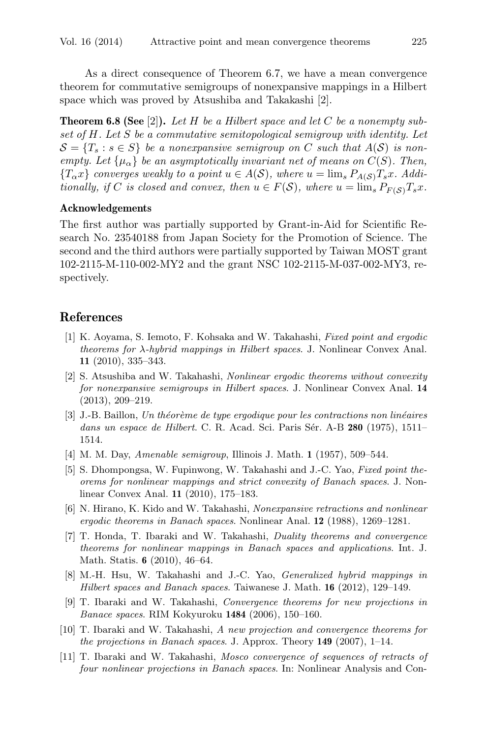As a direct consequence of Theorem 6.7, we have a mean convergence theorem for commutative semigroups of nonexpansive mappings in a Hilbert space which was proved by Atsushiba and Takakashi [2].

Theorem 6.8 (See [2]). *Let H be a Hilbert space and let C be a nonempty subset of H. Let S be a commutative semitopological semigroup with identity. Let*  $S = \{T_s : s \in S\}$  *be a nonexpansive semigroup on C such that*  $A(S)$  *is nonempty.* Let  $\{\mu_{\alpha}\}\$ be an asymptotically invariant net of means on  $C(S)$ . Then,  ${T_\alpha x}$  *converges weakly to a point*  $u \in A(S)$ *, where*  $u = \lim_s P_{A(S)} T_s x$ *. Additionally, if C is closed and convex, then*  $u \in F(S)$ *, where*  $u = \lim_{s} P_{F(S)} T_s x$ *.* 

#### Acknowledgements

The first author was partially supported by Grant-in-Aid for Scientific Research No. 23540188 from Japan Society for the Promotion of Science. The second and the third authors were partially supported by Taiwan MOST grant 102-2115-M-110-002-MY2 and the grant NSC 102-2115-M-037-002-MY3, respectively.

# References

- [1] K. Aoyama, S. Iemoto, F. Kohsaka and W. Takahashi, *Fixed point and ergodic theorems for λ-hybrid mappings in Hilbert spaces*. J. Nonlinear Convex Anal. 11 (2010), 335–343.
- [2] S. Atsushiba and W. Takahashi, *Nonlinear ergodic theorems without convexity for nonexpansive semigroups in Hilbert spaces*. J. Nonlinear Convex Anal. 14 (2013), 209–219.
- [3] J.-B. Baillon, *Un th´eor`eme de type ergodique pour les contractions non lin´eaires dans un espace de Hilbert*. C. R. Acad. Sci. Paris Sér. A-B 280 (1975), 1511– 1514.
- [4] M. M. Day, *Amenable semigroup*, Illinois J. Math. 1 (1957), 509–544.
- [5] S. Dhompongsa, W. Fupinwong, W. Takahashi and J.-C. Yao, *Fixed point theorems for nonlinear mappings and strict convexity of Banach spaces*. J. Nonlinear Convex Anal. 11 (2010), 175–183.
- [6] N. Hirano, K. Kido and W. Takahashi, *Nonexpansive retractions and nonlinear ergodic theorems in Banach spaces*. Nonlinear Anal. 12 (1988), 1269–1281.
- [7] T. Honda, T. Ibaraki and W. Takahashi, *Duality theorems and convergence theorems for nonlinear mappings in Banach spaces and applications*. Int. J. Math. Statis. 6 (2010), 46–64.
- [8] M.-H. Hsu, W. Takahashi and J.-C. Yao, *Generalized hybrid mappings in Hilbert spaces and Banach spaces*. Taiwanese J. Math. 16 (2012), 129–149.
- [9] T. Ibaraki and W. Takahashi, *Convergence theorems for new projections in Banace spaces*. RIM Kokyuroku 1484 (2006), 150–160.
- [10] T. Ibaraki and W. Takahashi, *A new projection and convergence theorems for the projections in Banach spaces*. J. Approx. Theory 149 (2007), 1–14.
- [11] T. Ibaraki and W. Takahashi, *Mosco convergence of sequences of retracts of four nonlinear projections in Banach spaces*. In: Nonlinear Analysis and Con-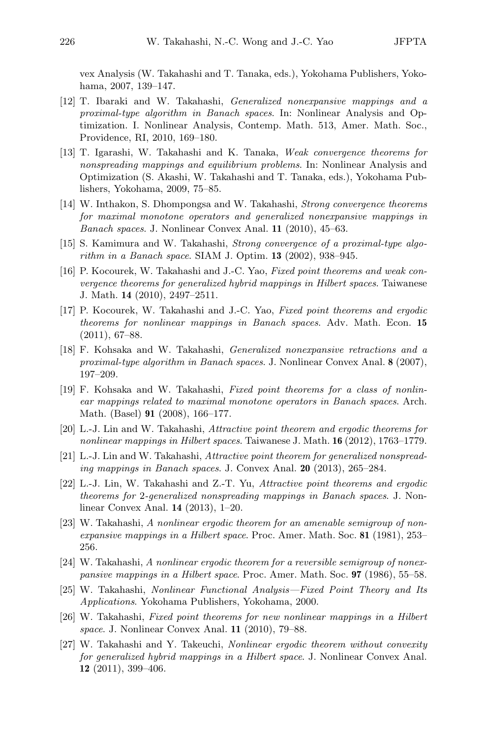vex Analysis (W. Takahashi and T. Tanaka, eds.), Yokohama Publishers, Yokohama, 2007, 139–147.

- [12] T. Ibaraki and W. Takahashi, *Generalized nonexpansive mappings and a proximal-type algorithm in Banach spaces*. In: Nonlinear Analysis and Optimization. I. Nonlinear Analysis, Contemp. Math. 513, Amer. Math. Soc., Providence, RI, 2010, 169–180.
- [13] T. Igarashi, W. Takahashi and K. Tanaka, *Weak convergence theorems for nonspreading mappings and equilibrium problems*. In: Nonlinear Analysis and Optimization (S. Akashi, W. Takahashi and T. Tanaka, eds.), Yokohama Publishers, Yokohama, 2009, 75–85.
- [14] W. Inthakon, S. Dhompongsa and W. Takahashi, *Strong convergence theorems for maximal monotone operators and generalized nonexpansive mappings in Banach spaces*. J. Nonlinear Convex Anal. 11 (2010), 45–63.
- [15] S. Kamimura and W. Takahashi, *Strong convergence of a proximal-type algorithm in a Banach space*. SIAM J. Optim. 13 (2002), 938–945.
- [16] P. Kocourek, W. Takahashi and J.-C. Yao, *Fixed point theorems and weak convergence theorems for generalized hybrid mappings in Hilbert spaces*. Taiwanese J. Math. 14 (2010), 2497–2511.
- [17] P. Kocourek, W. Takahashi and J.-C. Yao, *Fixed point theorems and ergodic theorems for nonlinear mappings in Banach spaces*. Adv. Math. Econ. 15 (2011), 67–88.
- [18] F. Kohsaka and W. Takahashi, *Generalized nonexpansive retractions and a proximal-type algorithm in Banach spaces*. J. Nonlinear Convex Anal. 8 (2007), 197–209.
- [19] F. Kohsaka and W. Takahashi, *Fixed point theorems for a class of nonlinear mappings related to maximal monotone operators in Banach spaces*. Arch. Math. (Basel) 91 (2008), 166–177.
- [20] L.-J. Lin and W. Takahashi, *Attractive point theorem and ergodic theorems for nonlinear mappings in Hilbert spaces*. Taiwanese J. Math. 16 (2012), 1763–1779.
- [21] L.-J. Lin and W. Takahashi, *Attractive point theorem for generalized nonspreading mappings in Banach spaces*. J. Convex Anal. 20 (2013), 265–284.
- [22] L.-J. Lin, W. Takahashi and Z.-T. Yu, *Attractive point theorems and ergodic theorems for* 2*-generalized nonspreading mappings in Banach spaces*. J. Nonlinear Convex Anal. 14 (2013), 1–20.
- [23] W. Takahashi, *A nonlinear ergodic theorem for an amenable semigroup of nonexpansive mappings in a Hilbert space*. Proc. Amer. Math. Soc. 81 (1981), 253– 256.
- [24] W. Takahashi, *A nonlinear ergodic theorem for a reversible semigroup of nonexpansive mappings in a Hilbert space*. Proc. Amer. Math. Soc. 97 (1986), 55–58.
- [25] W. Takahashi, *Nonlinear Functional Analysis—Fixed Point Theory and Its Applications*. Yokohama Publishers, Yokohama, 2000.
- [26] W. Takahashi, *Fixed point theorems for new nonlinear mappings in a Hilbert space*. J. Nonlinear Convex Anal. 11 (2010), 79–88.
- [27] W. Takahashi and Y. Takeuchi, *Nonlinear ergodic theorem without convexity for generalized hybrid mappings in a Hilbert space*. J. Nonlinear Convex Anal. 12 (2011), 399–406.